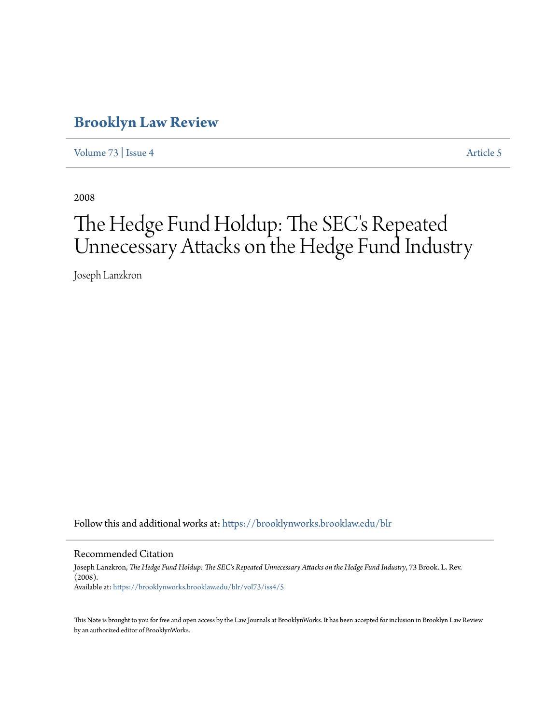# **[Brooklyn Law Review](https://brooklynworks.brooklaw.edu/blr?utm_source=brooklynworks.brooklaw.edu%2Fblr%2Fvol73%2Fiss4%2F5&utm_medium=PDF&utm_campaign=PDFCoverPages)**

[Volume 73](https://brooklynworks.brooklaw.edu/blr/vol73?utm_source=brooklynworks.brooklaw.edu%2Fblr%2Fvol73%2Fiss4%2F5&utm_medium=PDF&utm_campaign=PDFCoverPages) | [Issue 4](https://brooklynworks.brooklaw.edu/blr/vol73/iss4?utm_source=brooklynworks.brooklaw.edu%2Fblr%2Fvol73%2Fiss4%2F5&utm_medium=PDF&utm_campaign=PDFCoverPages) [Article 5](https://brooklynworks.brooklaw.edu/blr/vol73/iss4/5?utm_source=brooklynworks.brooklaw.edu%2Fblr%2Fvol73%2Fiss4%2F5&utm_medium=PDF&utm_campaign=PDFCoverPages)

2008

# The Hedge Fund Holdup: The SEC's Repeated Unnecessary Attacks on the Hedge Fund Industry

Joseph Lanzkron

Follow this and additional works at: [https://brooklynworks.brooklaw.edu/blr](https://brooklynworks.brooklaw.edu/blr?utm_source=brooklynworks.brooklaw.edu%2Fblr%2Fvol73%2Fiss4%2F5&utm_medium=PDF&utm_campaign=PDFCoverPages)

#### Recommended Citation

Joseph Lanzkron, *The Hedge Fund Holdup: The SEC's Repeated Unnecessary Attacks on the Hedge Fund Industry*, 73 Brook. L. Rev. (2008). Available at: [https://brooklynworks.brooklaw.edu/blr/vol73/iss4/5](https://brooklynworks.brooklaw.edu/blr/vol73/iss4/5?utm_source=brooklynworks.brooklaw.edu%2Fblr%2Fvol73%2Fiss4%2F5&utm_medium=PDF&utm_campaign=PDFCoverPages)

This Note is brought to you for free and open access by the Law Journals at BrooklynWorks. It has been accepted for inclusion in Brooklyn Law Review by an authorized editor of BrooklynWorks.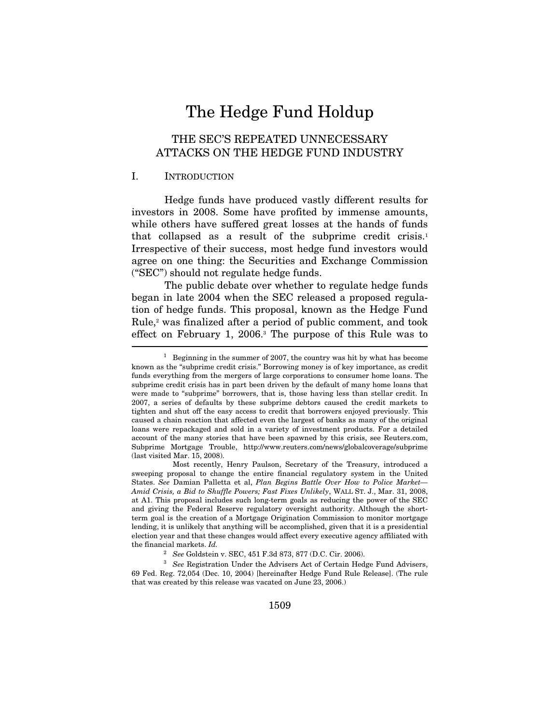# The Hedge Fund Holdup

## THE SEC'S REPEATED UNNECESSARY ATTACKS ON THE HEDGE FUND INDUSTRY

#### I. INTRODUCTION

Hedge funds have produced vastly different results for investors in 2008. Some have profited by immense amounts, while others have suffered great losses at the hands of funds that collapsed as a result of the subprime credit crisis.1 Irrespective of their success, most hedge fund investors would agree on one thing: the Securities and Exchange Commission ("SEC") should not regulate hedge funds.

The public debate over whether to regulate hedge funds began in late 2004 when the SEC released a proposed regulation of hedge funds. This proposal, known as the Hedge Fund Rule,2 was finalized after a period of public comment, and took effect on February 1, 2006.<sup>3</sup> The purpose of this Rule was to

 Most recently, Henry Paulson, Secretary of the Treasury, introduced a sweeping proposal to change the entire financial regulatory system in the United States. See Damian Palletta et al, Plan Begins Battle Over How to Police Market— Amid Crisis, a Bid to Shuffle Powers; Fast Fixes Unlikely, WALL ST. J., Mar. 31, 2008, at A1. This proposal includes such long-term goals as reducing the power of the SEC and giving the Federal Reserve regulatory oversight authority. Although the shortterm goal is the creation of a Mortgage Origination Commission to monitor mortgage lending, it is unlikely that anything will be accomplished, given that it is a presidential election year and that these changes would affect every executive agency affiliated with the financial markets. Id.

<sup>2</sup> See Goldstein v. SEC, 451 F.3d 873, 877 (D.C. Cir. 2006).<br><sup>3</sup> See Registration Under the Advisers Act of Certain Hedge Fund Advisers, 69 Fed. Reg. 72,054 (Dec. 10, 2004) [hereinafter Hedge Fund Rule Release]. (The rule that was created by this release was vacated on June 23, 2006.)

<sup>&</sup>lt;sup>1</sup> Beginning in the summer of 2007, the country was hit by what has become known as the "subprime credit crisis." Borrowing money is of key importance, as credit funds everything from the mergers of large corporations to consumer home loans. The subprime credit crisis has in part been driven by the default of many home loans that were made to "subprime" borrowers, that is, those having less than stellar credit. In 2007, a series of defaults by these subprime debtors caused the credit markets to tighten and shut off the easy access to credit that borrowers enjoyed previously. This caused a chain reaction that affected even the largest of banks as many of the original loans were repackaged and sold in a variety of investment products. For a detailed account of the many stories that have been spawned by this crisis, see Reuters.com, Subprime Mortgage Trouble, http://www.reuters.com/news/globalcoverage/subprime (last visited Mar. 15, 2008).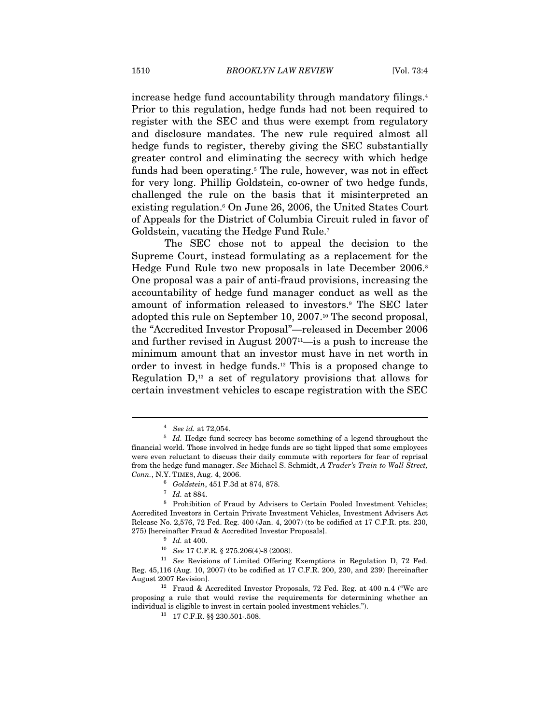increase hedge fund accountability through mandatory filings.4 Prior to this regulation, hedge funds had not been required to register with the SEC and thus were exempt from regulatory and disclosure mandates. The new rule required almost all hedge funds to register, thereby giving the SEC substantially greater control and eliminating the secrecy with which hedge funds had been operating.<sup>5</sup> The rule, however, was not in effect for very long. Phillip Goldstein, co-owner of two hedge funds, challenged the rule on the basis that it misinterpreted an existing regulation.6 On June 26, 2006, the United States Court of Appeals for the District of Columbia Circuit ruled in favor of Goldstein, vacating the Hedge Fund Rule.7

The SEC chose not to appeal the decision to the Supreme Court, instead formulating as a replacement for the Hedge Fund Rule two new proposals in late December 2006.<sup>8</sup> One proposal was a pair of anti-fraud provisions, increasing the accountability of hedge fund manager conduct as well as the amount of information released to investors.9 The SEC later adopted this rule on September 10, 2007.10 The second proposal, the "Accredited Investor Proposal"—released in December 2006 and further revised in August  $2007<sup>11</sup>$ —is a push to increase the minimum amount that an investor must have in net worth in order to invest in hedge funds.12 This is a proposed change to Regulation  $D<sub>13</sub>$  a set of regulatory provisions that allows for certain investment vehicles to escape registration with the SEC

 $^4\;$  See id. at 72,054.  $^4\;$  Id. Hedge fund secrecy has become something of a legend throughout the financial world. Those involved in hedge funds are so tight lipped that some employees were even reluctant to discuss their daily commute with reporters for fear of reprisal from the hedge fund manager. See Michael S. Schmidt, A Trader's Train to Wall Street, Conn., N.Y. TIMES, Aug. 4, 2006.

<sup>&</sup>lt;sup>6</sup> Goldstein, 451 F.3d at 874, 878.<br><sup>7</sup> Id. at 884.<br><sup>8</sup> Prohibition of Fraud by Advisers to Certain Pooled Investment Vehicles; Accredited Investors in Certain Private Investment Vehicles, Investment Advisers Act Release No. 2,576, 72 Fed. Reg. 400 (Jan. 4, 2007) (to be codified at 17 C.F.R. pts. 230, 275) [hereinafter Fraud & Accredited Investor Proposals].<br><sup>9</sup> Id. at 400.<br><sup>10</sup> See 17 C.F.R. § 275.206(4)-8 (2008).<br><sup>11</sup> See Revisions of Limited Offering Exemptions in Regulation D, 72 Fed.

Reg. 45,116 (Aug. 10, 2007) (to be codified at 17 C.F.R. 200, 230, and 239) [hereinafter

August 2007 Revision]. 12 Fraud & Accredited Investor Proposals, 72 Fed. Reg. at 400 n.4 ("We are proposing a rule that would revise the requirements for determining whether an individual is eligible to invest in certain pooled investment vehicles.").<br><sup>13</sup> 17 C.F.R. §§ 230.501-.508.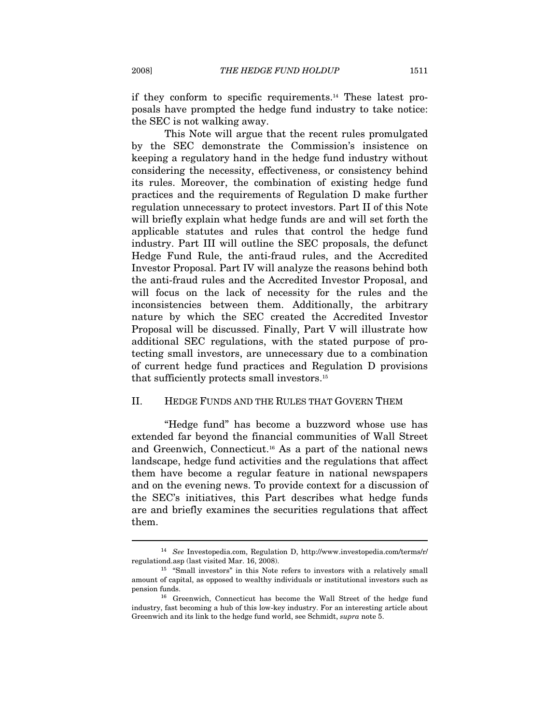if they conform to specific requirements.14 These latest proposals have prompted the hedge fund industry to take notice: the SEC is not walking away.

This Note will argue that the recent rules promulgated by the SEC demonstrate the Commission's insistence on keeping a regulatory hand in the hedge fund industry without considering the necessity, effectiveness, or consistency behind its rules. Moreover, the combination of existing hedge fund practices and the requirements of Regulation D make further regulation unnecessary to protect investors. Part II of this Note will briefly explain what hedge funds are and will set forth the applicable statutes and rules that control the hedge fund industry. Part III will outline the SEC proposals, the defunct Hedge Fund Rule, the anti-fraud rules, and the Accredited Investor Proposal. Part IV will analyze the reasons behind both the anti-fraud rules and the Accredited Investor Proposal, and will focus on the lack of necessity for the rules and the inconsistencies between them. Additionally, the arbitrary nature by which the SEC created the Accredited Investor Proposal will be discussed. Finally, Part V will illustrate how additional SEC regulations, with the stated purpose of protecting small investors, are unnecessary due to a combination of current hedge fund practices and Regulation D provisions that sufficiently protects small investors.15

#### II. HEDGE FUNDS AND THE RULES THAT GOVERN THEM

"Hedge fund" has become a buzzword whose use has extended far beyond the financial communities of Wall Street and Greenwich, Connecticut.16 As a part of the national news landscape, hedge fund activities and the regulations that affect them have become a regular feature in national newspapers and on the evening news. To provide context for a discussion of the SEC's initiatives, this Part describes what hedge funds are and briefly examines the securities regulations that affect them.

<sup>14</sup> See Investopedia.com, Regulation D, http://www.investopedia.com/terms/r/ regulationd.asp (last visited Mar. 16, 2008).  $15$  "Small investors" in this Note refers to investors with a relatively small

amount of capital, as opposed to wealthy individuals or institutional investors such as pension funds. 16 Greenwich, Connecticut has become the Wall Street of the hedge fund

industry, fast becoming a hub of this low-key industry. For an interesting article about Greenwich and its link to the hedge fund world, see Schmidt, supra note 5.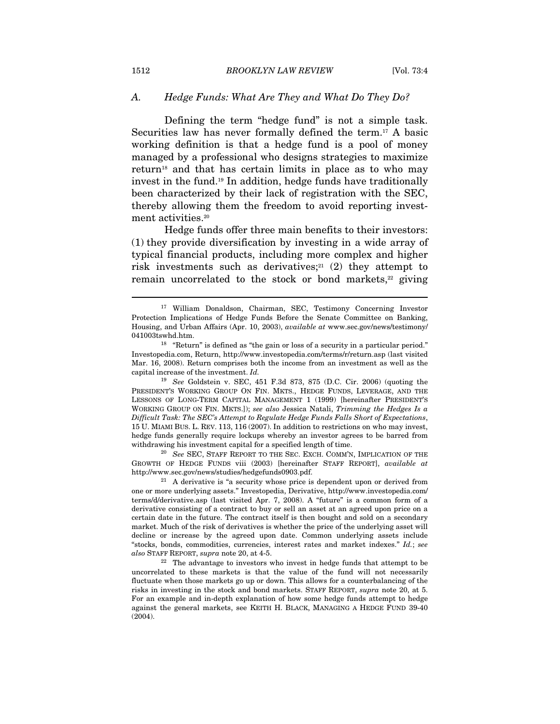#### A. Hedge Funds: What Are They and What Do They Do?

Defining the term "hedge fund" is not a simple task. Securities law has never formally defined the term.<sup>17</sup> A basic working definition is that a hedge fund is a pool of money managed by a professional who designs strategies to maximize return18 and that has certain limits in place as to who may invest in the fund.19 In addition, hedge funds have traditionally been characterized by their lack of registration with the SEC, thereby allowing them the freedom to avoid reporting investment activities.<sup>20</sup>

Hedge funds offer three main benefits to their investors: (1) they provide diversification by investing in a wide array of typical financial products, including more complex and higher risk investments such as derivatives;<sup>21</sup> (2) they attempt to remain uncorrelated to the stock or bond markets, $22$  giving

 $19$  See Goldstein v. SEC, 451 F.3d 873, 875 (D.C. Cir. 2006) (quoting the PRESIDENT'S WORKING GROUP ON FIN. MKTS., HEDGE FUNDS, LEVERAGE, AND THE LESSONS OF LONG-TERM CAPITAL MANAGEMENT 1 (1999) [hereinafter PRESIDENT'S WORKING GROUP ON FIN. MKTS.]); see also Jessica Natali, Trimming the Hedges Is a Difficult Task: The SEC's Attempt to Regulate Hedge Funds Falls Short of Expectations, 15 U. MIAMI BUS. L. REV. 113, 116 (2007). In addition to restrictions on who may invest, hedge funds generally require lockups whereby an investor agrees to be barred from withdrawing his investment capital for a specified length of time.<br><sup>20</sup> See SEC, STAFF REPORT TO THE SEC. EXCH. COMM'N, IMPLICATION OF THE

GROWTH OF HEDGE FUNDS viii (2003) [hereinafter STAFF REPORT], available at http://www.sec.gov/news/studies/hedgefunds0903.pdf. 21 A derivative is "a security whose price is dependent upon or derived from

one or more underlying assets." Investopedia, Derivative, http://www.investopedia.com/ terms/d/derivative.asp (last visited Apr. 7, 2008). A "future" is a common form of a derivative consisting of a contract to buy or sell an asset at an agreed upon price on a certain date in the future. The contract itself is then bought and sold on a secondary market. Much of the risk of derivatives is whether the price of the underlying asset will decline or increase by the agreed upon date. Common underlying assets include "stocks, bonds, commodities, currencies, interest rates and market indexes." Id.; see also STAFF REPORT, supra note 20, at 4-5.<br><sup>22</sup> The advantage to investors who invest in hedge funds that attempt to be

uncorrelated to these markets is that the value of the fund will not necessarily fluctuate when those markets go up or down. This allows for a counterbalancing of the risks in investing in the stock and bond markets. STAFF REPORT, supra note 20, at 5. For an example and in-depth explanation of how some hedge funds attempt to hedge against the general markets, see KEITH H. BLACK, MANAGING A HEDGE FUND 39-40 (2004).

<sup>17</sup> William Donaldson, Chairman, SEC, Testimony Concerning Investor Protection Implications of Hedge Funds Before the Senate Committee on Banking, Housing, and Urban Affairs (Apr. 10, 2003), available at www.sec.gov/news/testimony/041003tswhd.htm.

 $18$  "Return" is defined as "the gain or loss of a security in a particular period." Investopedia.com, Return, http://www.investopedia.com/terms/r/return.asp (last visited Mar. 16, 2008). Return comprises both the income from an investment as well as the capital increase of the investment. Id.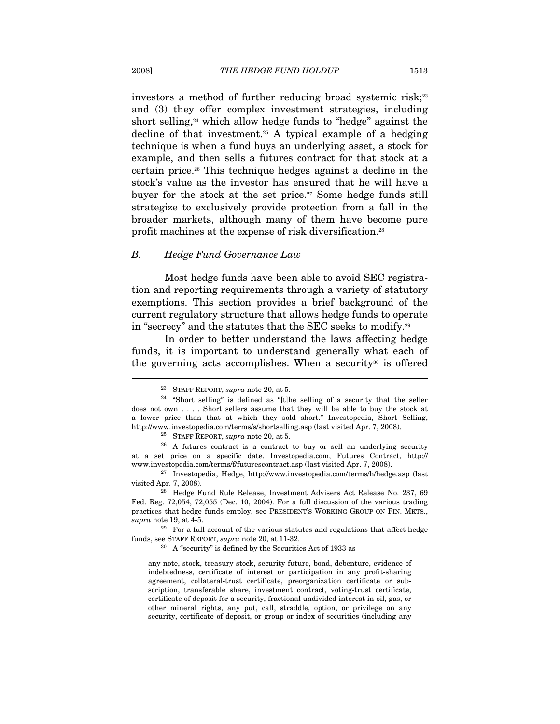investors a method of further reducing broad systemic risk;<sup>23</sup> and (3) they offer complex investment strategies, including short selling, $24$  which allow hedge funds to "hedge" against the decline of that investment.<sup>25</sup> A typical example of a hedging technique is when a fund buys an underlying asset, a stock for example, and then sells a futures contract for that stock at a certain price.26 This technique hedges against a decline in the stock's value as the investor has ensured that he will have a buyer for the stock at the set price.<sup>27</sup> Some hedge funds still strategize to exclusively provide protection from a fall in the broader markets, although many of them have become pure profit machines at the expense of risk diversification.28

#### B. Hedge Fund Governance Law

Most hedge funds have been able to avoid SEC registration and reporting requirements through a variety of statutory exemptions. This section provides a brief background of the current regulatory structure that allows hedge funds to operate in "secrecy" and the statutes that the SEC seeks to modify.29

In order to better understand the laws affecting hedge funds, it is important to understand generally what each of the governing acts accomplishes. When a security<sup>30</sup> is offered

at a set price on a specific date. Investopedia.com, Futures Contract, http://

<sup>&</sup>lt;sup>23</sup> STAFF REPORT, supra note 20, at 5.

<sup>24 &</sup>quot;Short selling" is defined as "[t]he selling of a security that the seller does not own . . . . Short sellers assume that they will be able to buy the stock at a lower price than that at which they sold short." Investopedia, Short Selling, http://www.investopedia.com/terms/s/shortselling.asp (last visited Apr. 7, 2008).<br><sup>25</sup> STAFF REPORT, *supra* note 20, at 5.<br><sup>26</sup> A futures contract is a contract to buy or sell an underlying security

www.investopedia.com/terms/f/futurescontract.asp (last visited Apr. 7, 2008).<br><sup>27</sup> Investopedia, Hedge, http://www.investopedia.com/terms/h/hedge.asp (last visited Apr. 7, 2008).

<sup>&</sup>lt;sup>28</sup> Hedge Fund Rule Release, Investment Advisers Act Release No. 237, 69 Fed. Reg. 72,054, 72,055 (Dec. 10, 2004). For a full discussion of the various trading practices that hedge funds employ, see PRESIDENT'S WORKING GROUP ON FIN. MKTS.,

supra note 19, at 4-5.  $^{29}$  For a full account of the various statutes and regulations that affect hedge funds, see STAFF REPORT, supra note 20, at 11-32. 30 A "security" is defined by the Securities Act of 1933 as

any note, stock, treasury stock, security future, bond, debenture, evidence of indebtedness, certificate of interest or participation in any profit-sharing agreement, collateral-trust certificate, preorganization certificate or subscription, transferable share, investment contract, voting-trust certificate, certificate of deposit for a security, fractional undivided interest in oil, gas, or other mineral rights, any put, call, straddle, option, or privilege on any security, certificate of deposit, or group or index of securities (including any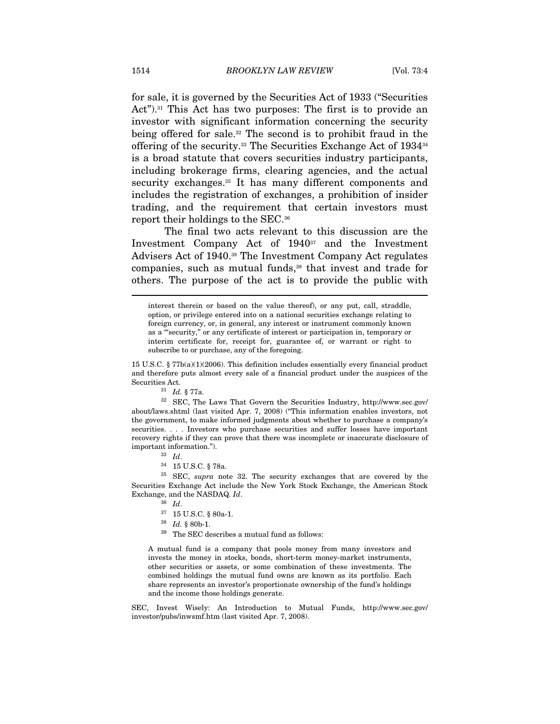for sale, it is governed by the Securities Act of 1933 ("Securities Act").<sup>31</sup> This Act has two purposes: The first is to provide an investor with significant information concerning the security being offered for sale.32 The second is to prohibit fraud in the offering of the security.33 The Securities Exchange Act of 193434 is a broad statute that covers securities industry participants, including brokerage firms, clearing agencies, and the actual security exchanges.<sup>35</sup> It has many different components and includes the registration of exchanges, a prohibition of insider trading, and the requirement that certain investors must report their holdings to the SEC.36

The final two acts relevant to this discussion are the Investment Company Act of 194037 and the Investment Advisers Act of 1940.38 The Investment Company Act regulates companies, such as mutual funds,<sup>39</sup> that invest and trade for others. The purpose of the act is to provide the public with

15 U.S.C. § 77b(a)(1)(2006). This definition includes essentially every financial product and therefore puts almost every sale of a financial product under the auspices of the  $\begin{array}{ll} \text{Securities Act.} & \\ \text{^{31}} \quad Id. \ \text{\$ 77a.} \\ \text{^{32}} \quad \text{SEC, The Laws That Government he Securities Industry, http://www.sec.gov/} \\ \end{array}$ 

about/laws.shtml (last visited Apr. 7, 2008) ("This information enables investors, not the government, to make informed judgments about whether to purchase a company's securities. . . . Investors who purchase securities and suffer losses have important recovery rights if they can prove that there was incomplete or inaccurate disclosure of % important information.").  $$^{33}$$   $Id.$   $$^{34}$$   $15$  U.S.C.  $\S$  78a.

35 SEC, supra note 32. The security exchanges that are covered by the Securities Exchange Act include the New York Stock Exchange, the American Stock Exchange, and the NASDAQ.  $Id$ .<br><sup>36</sup> Id.

 $^\mathrm{39}$  The SEC describes a mutual fund as follows:

A mutual fund is a company that pools money from many investors and invests the money in stocks, bonds, short-term money-market instruments, other securities or assets, or some combination of these investments. The combined holdings the mutual fund owns are known as its portfolio. Each share represents an investor's proportionate ownership of the fund's holdings and the income those holdings generate.

SEC, Invest Wisely: An Introduction to Mutual Funds, http://www.sec.gov/ investor/pubs/inwsmf.htm (last visited Apr. 7, 2008).

interest therein or based on the value thereof), or any put, call, straddle, option, or privilege entered into on a national securities exchange relating to foreign currency, or, in general, any interest or instrument commonly known as a "'security," or any certificate of interest or participation in, temporary or interim certificate for, receipt for, guarantee of, or warrant or right to subscribe to or purchase, any of the foregoing.

 $\begin{array}{lll} 37 & 15 \text{ U.S.C.} \ \S\ 80 \text{a-1}. \\ 38 & Id. \ \S\ 80 \text{b-1}. \end{array}$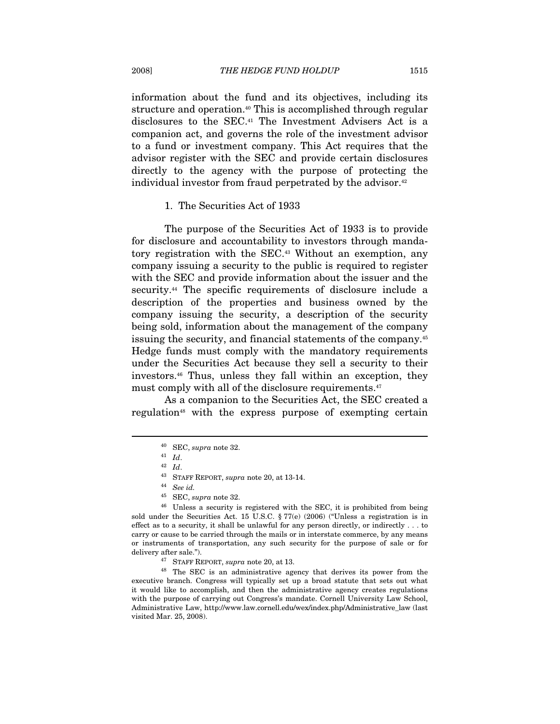information about the fund and its objectives, including its structure and operation.<sup>40</sup> This is accomplished through regular disclosures to the SEC.41 The Investment Advisers Act is a companion act, and governs the role of the investment advisor to a fund or investment company. This Act requires that the advisor register with the SEC and provide certain disclosures directly to the agency with the purpose of protecting the individual investor from fraud perpetrated by the advisor.<sup>42</sup>

#### 1. The Securities Act of 1933

The purpose of the Securities Act of 1933 is to provide for disclosure and accountability to investors through mandatory registration with the SEC.43 Without an exemption, any company issuing a security to the public is required to register with the SEC and provide information about the issuer and the security.<sup>44</sup> The specific requirements of disclosure include a description of the properties and business owned by the company issuing the security, a description of the security being sold, information about the management of the company issuing the security, and financial statements of the company.45 Hedge funds must comply with the mandatory requirements under the Securities Act because they sell a security to their investors.46 Thus, unless they fall within an exception, they must comply with all of the disclosure requirements.<sup>47</sup>

As a companion to the Securities Act, the SEC created a regulation<sup>48</sup> with the express purpose of exempting certain

 $^{40}$  SEC, supra note 32.<br> $^{41}$   $\,$   $\!ld.$   $^{42}$   $\,$   $\!ld.$ 

 $^\mathrm{43}$  STAFF REPORT,  $\sup r a$  note 20, at 13-14. See id.

<sup>45</sup> SEC, supra note 32.

<sup>46</sup> Unless a security is registered with the SEC, it is prohibited from being sold under the Securities Act. 15 U.S.C. § 77(e) (2006) ("Unless a registration is in effect as to a security, it shall be unlawful for any person directly, or indirectly . . . to carry or cause to be carried through the mails or in interstate commerce, by any means or instruments of transportation, any such security for the purpose of sale or for delivery after sale.").<br><sup>47</sup> STAFF REPORT, *supra* note 20, at 13.<br><sup>48</sup> The SEC is an administrative agency that derives its power from the

executive branch. Congress will typically set up a broad statute that sets out what it would like to accomplish, and then the administrative agency creates regulations with the purpose of carrying out Congress's mandate. Cornell University Law School, Administrative Law, http://www.law.cornell.edu/wex/index.php/Administrative\_law (last visited Mar. 25, 2008).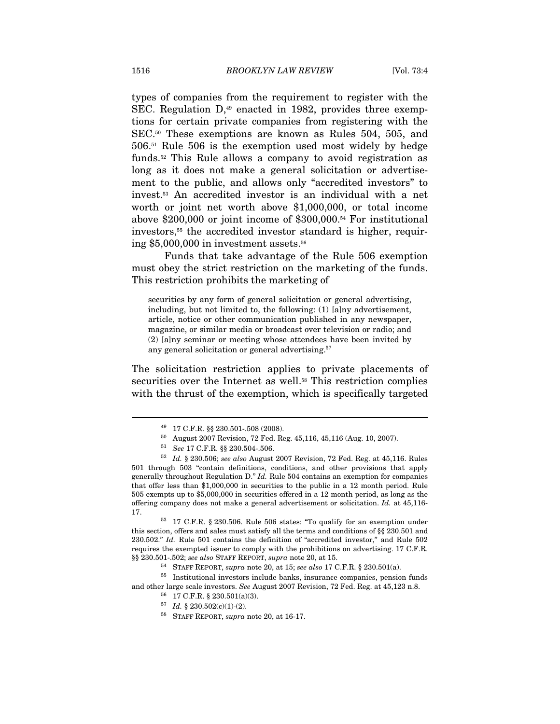types of companies from the requirement to register with the SEC. Regulation D,<sup>49</sup> enacted in 1982, provides three exemptions for certain private companies from registering with the SEC.50 These exemptions are known as Rules 504, 505, and 506.51 Rule 506 is the exemption used most widely by hedge funds.52 This Rule allows a company to avoid registration as long as it does not make a general solicitation or advertisement to the public, and allows only "accredited investors" to invest.53 An accredited investor is an individual with a net worth or joint net worth above \$1,000,000, or total income above \$200,000 or joint income of \$300,000.54 For institutional investors,55 the accredited investor standard is higher, requiring  $$5,000,000$  in investment assets.<sup>56</sup>

Funds that take advantage of the Rule 506 exemption must obey the strict restriction on the marketing of the funds. This restriction prohibits the marketing of

securities by any form of general solicitation or general advertising, including, but not limited to, the following: (1) [a]ny advertisement, article, notice or other communication published in any newspaper, magazine, or similar media or broadcast over television or radio; and (2) [a]ny seminar or meeting whose attendees have been invited by any general solicitation or general advertising.57

The solicitation restriction applies to private placements of securities over the Internet as well.<sup>58</sup> This restriction complies with the thrust of the exemption, which is specifically targeted

this section, offers and sales must satisfy all the terms and conditions of §§ 230.501 and 230.502." Id. Rule 501 contains the definition of "accredited investor," and Rule 502 requires the exempted issuer to comply with the prohibitions on advertising. 17 C.F.R. §§ 230.501-.502; see also STAFF REPORT, supra note 20, at 15.<br><sup>54</sup> STAFF REPORT, supra note 20, at 15; see also 17 C.F.R. § 230.501(a).<br><sup>55</sup> Institutional investors include banks, insurance companies, pension funds

and other large scale investors. See August 2007 Revision, 72 Fed. Reg. at 45,123 n.8.  $^{56}$  17 C.F.R. § 230.501(a)(3).

<sup>49 17</sup> C.F.R. §§ 230.501-.508 (2008).

<sup>50</sup> August 2007 Revision, 72 Fed. Reg. 45,116, 45,116 (Aug. 10, 2007).

<sup>51</sup> See 17 C.F.R. §§ 230.504-.506.

 $52$  Id. § 230.506; see also August 2007 Revision, 72 Fed. Reg. at 45,116. Rules 501 through 503 "contain definitions, conditions, and other provisions that apply generally throughout Regulation D." Id. Rule 504 contains an exemption for companies that offer less than \$1,000,000 in securities to the public in a 12 month period. Rule 505 exempts up to \$5,000,000 in securities offered in a 12 month period, as long as the offering company does not make a general advertisement or solicitation. Id. at 45,116- 17. 53 17 C.F.R. § 230.506. Rule 506 states: "To qualify for an exemption under

<sup>&</sup>lt;sup>57</sup> Id. § 230.502(c)(1)-(2).<br><sup>58</sup> STAFF REPORT, *supra* note 20, at 16-17.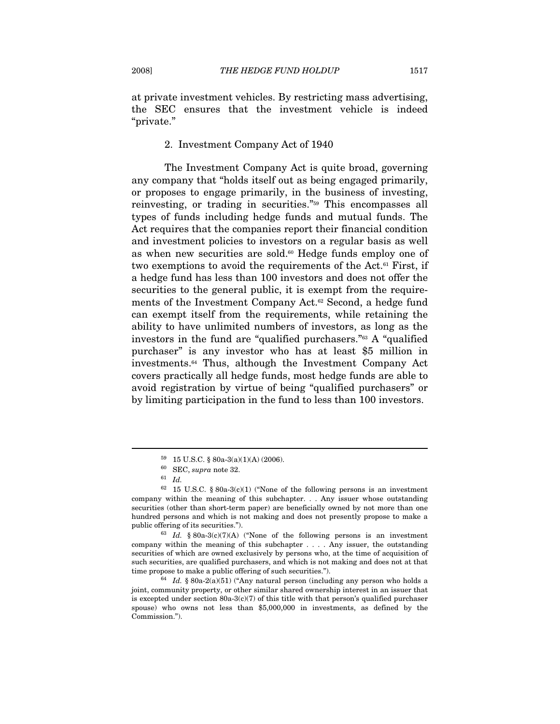at private investment vehicles. By restricting mass advertising, the SEC ensures that the investment vehicle is indeed "private."

#### 2. Investment Company Act of 1940

The Investment Company Act is quite broad, governing any company that "holds itself out as being engaged primarily, or proposes to engage primarily, in the business of investing, reinvesting, or trading in securities."59 This encompasses all types of funds including hedge funds and mutual funds. The Act requires that the companies report their financial condition and investment policies to investors on a regular basis as well as when new securities are sold.<sup>60</sup> Hedge funds employ one of two exemptions to avoid the requirements of the Act.<sup>61</sup> First, if a hedge fund has less than 100 investors and does not offer the securities to the general public, it is exempt from the requirements of the Investment Company Act.62 Second, a hedge fund can exempt itself from the requirements, while retaining the ability to have unlimited numbers of investors, as long as the investors in the fund are "qualified purchasers."63 A "qualified purchaser" is any investor who has at least \$5 million in investments.64 Thus, although the Investment Company Act covers practically all hedge funds, most hedge funds are able to avoid registration by virtue of being "qualified purchasers" or by limiting participation in the fund to less than 100 investors.

<sup>59 15</sup> U.S.C. § 80a-3(a)(1)(A) (2006).

 $^{60}$  SEC, supra note 32.  $^{61}$   $\,$   $Id.$ 

 $62$  15 U.S.C. § 80a-3(c)(1) ("None of the following persons is an investment company within the meaning of this subchapter. . . Any issuer whose outstanding securities (other than short-term paper) are beneficially owned by not more than one hundred persons and which is not making and does not presently propose to make a public offering of its securities."). <sup>63</sup> Id. § 80a-3(c)(7)(A) ("None of the following persons is an investment

company within the meaning of this subchapter . . . . Any issuer, the outstanding securities of which are owned exclusively by persons who, at the time of acquisition of such securities, are qualified purchasers, and which is not making and does not at that time propose to make a public offering of such securities.").<br>
<sup>64</sup> Id. § 80a-2(a)(51) ("Any natural person (including any person who holds a

joint, community property, or other similar shared ownership interest in an issuer that is excepted under section  $80a-3(c)(7)$  of this title with that person's qualified purchaser spouse) who owns not less than \$5,000,000 in investments, as defined by the Commission.").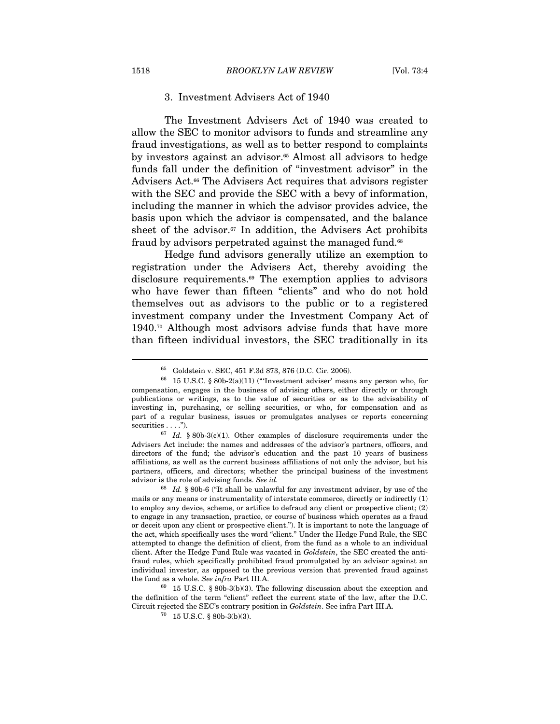#### 3. Investment Advisers Act of 1940

The Investment Advisers Act of 1940 was created to allow the SEC to monitor advisors to funds and streamline any fraud investigations, as well as to better respond to complaints by investors against an advisor.<sup>65</sup> Almost all advisors to hedge funds fall under the definition of "investment advisor" in the Advisers Act.<sup>66</sup> The Advisers Act requires that advisors register with the SEC and provide the SEC with a bevy of information, including the manner in which the advisor provides advice, the basis upon which the advisor is compensated, and the balance sheet of the advisor.<sup>67</sup> In addition, the Advisers Act prohibits fraud by advisors perpetrated against the managed fund.<sup>68</sup>

Hedge fund advisors generally utilize an exemption to registration under the Advisers Act, thereby avoiding the disclosure requirements.69 The exemption applies to advisors who have fewer than fifteen "clients" and who do not hold themselves out as advisors to the public or to a registered investment company under the Investment Company Act of 1940.70 Although most advisors advise funds that have more than fifteen individual investors, the SEC traditionally in its

 $^{67}$  Id. § 80b-3(c)(1). Other examples of disclosure requirements under the Advisers Act include: the names and addresses of the advisor's partners, officers, and directors of the fund; the advisor's education and the past 10 years of business affiliations, as well as the current business affiliations of not only the advisor, but his partners, officers, and directors; whether the principal business of the investment advisor is the role of advising funds. See id.

 $^{65}$  Goldstein v. SEC, 451 F.3d 873, 876 (D.C. Cir. 2006).  $^{66}$  15 U.S.C. § 80b-2(a)(11) ("Investment adviser' means any person who, for compensation, engages in the business of advising others, either directly or through publications or writings, as to the value of securities or as to the advisability of investing in, purchasing, or selling securities, or who, for compensation and as part of a regular business, issues or promulgates analyses or reports concerning securities . . . .").

 $68$  Id. § 80b-6 ("It shall be unlawful for any investment adviser, by use of the mails or any means or instrumentality of interstate commerce, directly or indirectly (1) to employ any device, scheme, or artifice to defraud any client or prospective client; (2) to engage in any transaction, practice, or course of business which operates as a fraud or deceit upon any client or prospective client."). It is important to note the language of the act, which specifically uses the word "client." Under the Hedge Fund Rule, the SEC attempted to change the definition of client, from the fund as a whole to an individual client. After the Hedge Fund Rule was vacated in Goldstein, the SEC created the antifraud rules, which specifically prohibited fraud promulgated by an advisor against an individual investor, as opposed to the previous version that prevented fraud against the fund as a whole. See infra Part III.A.  $^{69}$  15 U.S.C. § 80b-3(b)(3). The following discussion about the exception and

the definition of the term "client" reflect the current state of the law, after the D.C. Circuit rejected the SEC's contrary position in  $Goldstein$ . See infra Part III.A. <sup>70</sup> 15 U.S.C. § 80b-3(b)(3).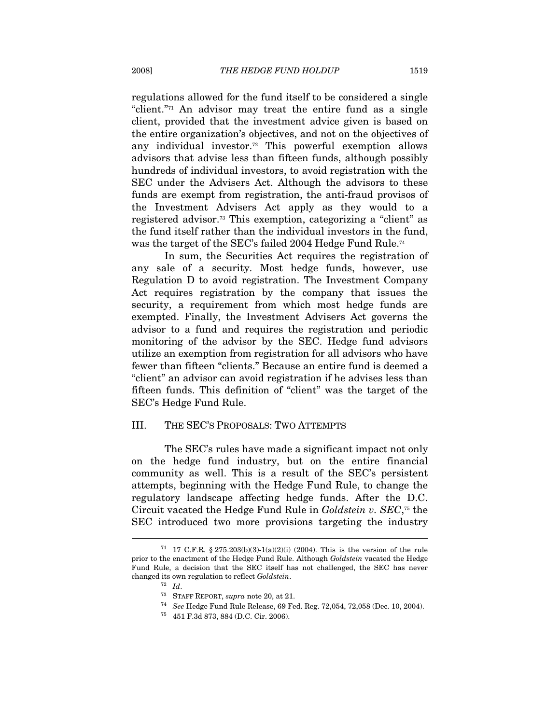regulations allowed for the fund itself to be considered a single "client."<sup>71</sup> An advisor may treat the entire fund as a single client, provided that the investment advice given is based on the entire organization's objectives, and not on the objectives of any individual investor.72 This powerful exemption allows advisors that advise less than fifteen funds, although possibly hundreds of individual investors, to avoid registration with the SEC under the Advisers Act. Although the advisors to these funds are exempt from registration, the anti-fraud provisos of the Investment Advisers Act apply as they would to a registered advisor.73 This exemption, categorizing a "client" as the fund itself rather than the individual investors in the fund, was the target of the SEC's failed 2004 Hedge Fund Rule.74

In sum, the Securities Act requires the registration of any sale of a security. Most hedge funds, however, use Regulation D to avoid registration. The Investment Company Act requires registration by the company that issues the security, a requirement from which most hedge funds are exempted. Finally, the Investment Advisers Act governs the advisor to a fund and requires the registration and periodic monitoring of the advisor by the SEC. Hedge fund advisors utilize an exemption from registration for all advisors who have fewer than fifteen "clients." Because an entire fund is deemed a "client" an advisor can avoid registration if he advises less than fifteen funds. This definition of "client" was the target of the SEC's Hedge Fund Rule.

#### III. THE SEC'S PROPOSALS: TWO ATTEMPTS

The SEC's rules have made a significant impact not only on the hedge fund industry, but on the entire financial community as well. This is a result of the SEC's persistent attempts, beginning with the Hedge Fund Rule, to change the regulatory landscape affecting hedge funds. After the D.C. Circuit vacated the Hedge Fund Rule in  $Goldstein$  v.  $SEC.75$  the SEC introduced two more provisions targeting the industry

<sup>&</sup>lt;sup>71</sup> 17 C.F.R. § 275.203(b)(3)-1(a)(2)(i) (2004). This is the version of the rule prior to the enactment of the Hedge Fund Rule. Although Goldstein vacated the Hedge Fund Rule, a decision that the SEC itself has not challenged, the SEC has never changed its own regulation to reflect  $Goldstein$ .<br><sup>72</sup> Id.

<sup>&</sup>lt;sup>73</sup> STAFF REPORT, *supra* note 20, at 21.<br><sup>74</sup> See Hedge Fund Rule Release, 69 Fed. Reg. 72,054, 72,058 (Dec. 10, 2004).<br><sup>75</sup> 451 F.3d 873, 884 (D.C. Cir. 2006).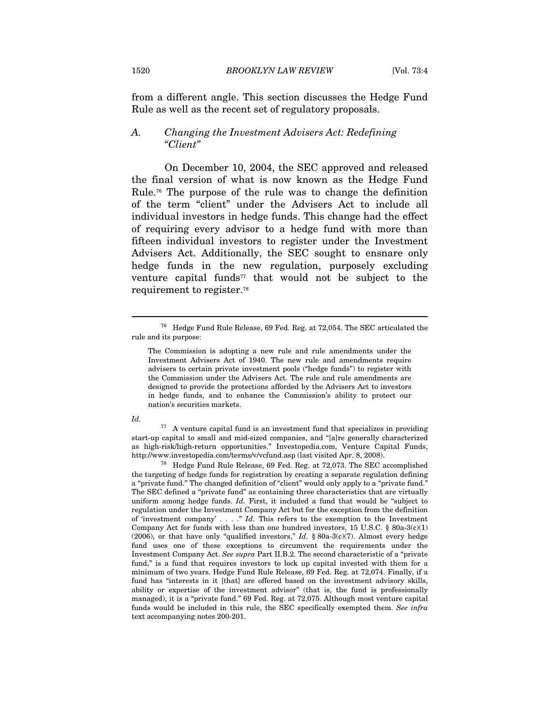from a different angle. This section discusses the Hedge Fund Rule as well as the recent set of regulatory proposals.

#### A. Changing the Investment Advisers Act: Redefining "Client"

On December 10, 2004, the SEC approved and released the final version of what is now known as the Hedge Fund Rule.76 The purpose of the rule was to change the definition of the term "client" under the Advisers Act to include all individual investors in hedge funds. This change had the effect of requiring every advisor to a hedge fund with more than fifteen individual investors to register under the Investment Advisers Act. Additionally, the SEC sought to ensnare only hedge funds in the new regulation, purposely excluding venture capital funds<sup> $77$ </sup> that would not be subject to the requirement to register.78

Id.

 $\overline{a}$ 

 $77$  A venture capital fund is an investment fund that specializes in providing start-up capital to small and mid-sized companies, and "[a]re generally characterized as high-risk/high-return opportunities." Investopedia.com, Venture Capital Funds, http://www.investopedia.com/terms/v/vcfund.asp (last visited Apr. 8, 2008). 78 Hedge Fund Rule Release, 69 Fed. Reg. at 72,073. The SEC accomplished

the targeting of hedge funds for registration by creating a separate regulation defining a "private fund." The changed definition of "client" would only apply to a "private fund." The SEC defined a "private fund" as containing three characteristics that are virtually uniform among hedge funds. Id. First, it included a fund that would be "subject to regulation under the Investment Company Act but for the exception from the definition of 'investment company' . . . ." Id. This refers to the exemption to the Investment Company Act for funds with less than one hundred investors, 15 U.S.C. § 80a-3(c)(1) (2006), or that have only "qualified investors,"  $Id.$  § 80a-3(c)(7). Almost every hedge fund uses one of these exceptions to circumvent the requirements under the Investment Company Act. See supra Part II.B.2. The second characteristic of a "private fund," is a fund that requires investors to lock up capital invested with them for a minimum of two years. Hedge Fund Rule Release, 69 Fed. Reg. at 72,074. Finally, if a fund has "interests in it [that] are offered based on the investment advisory skills, ability or expertise of the investment advisor" (that is, the fund is professionally managed), it is a "private fund." 69 Fed. Reg. at 72,075. Although most venture capital funds would be included in this rule, the SEC specifically exempted them. See infra text accompanying notes 200-201.

<sup>76</sup> Hedge Fund Rule Release, 69 Fed. Reg. at 72,054. The SEC articulated the rule and its purpose:

The Commission is adopting a new rule and rule amendments under the Investment Advisers Act of 1940. The new rule and amendments require advisers to certain private investment pools ("hedge funds") to register with the Commission under the Advisers Act. The rule and rule amendments are designed to provide the protections afforded by the Advisers Act to investors in hedge funds, and to enhance the Commission's ability to protect our nation's securities markets.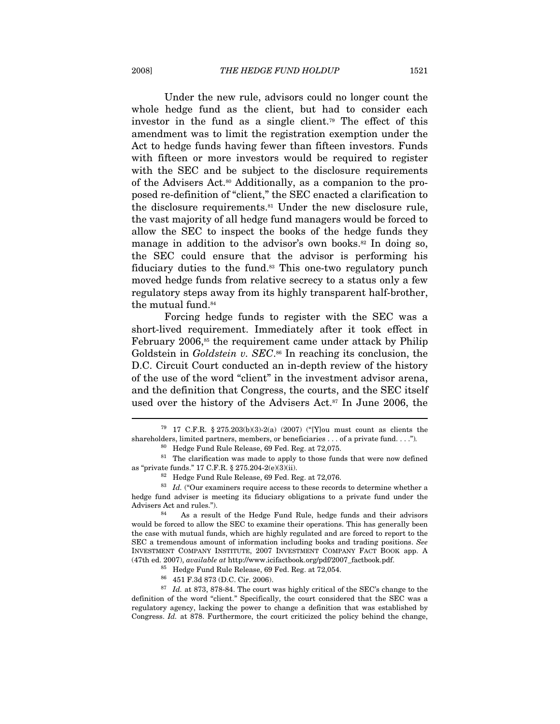Under the new rule, advisors could no longer count the whole hedge fund as the client, but had to consider each investor in the fund as a single client.79 The effect of this amendment was to limit the registration exemption under the Act to hedge funds having fewer than fifteen investors. Funds with fifteen or more investors would be required to register with the SEC and be subject to the disclosure requirements of the Advisers Act.<sup>80</sup> Additionally, as a companion to the proposed re-definition of "client," the SEC enacted a clarification to the disclosure requirements.<sup>81</sup> Under the new disclosure rule, the vast majority of all hedge fund managers would be forced to allow the SEC to inspect the books of the hedge funds they manage in addition to the advisor's own books.<sup>82</sup> In doing so, the SEC could ensure that the advisor is performing his fiduciary duties to the fund.<sup>83</sup> This one-two regulatory punch moved hedge funds from relative secrecy to a status only a few regulatory steps away from its highly transparent half-brother, the mutual fund.<sup>84</sup>

Forcing hedge funds to register with the SEC was a short-lived requirement. Immediately after it took effect in February 2006,<sup>85</sup> the requirement came under attack by Philip Goldstein in Goldstein v.  $SEC.^{86}$  In reaching its conclusion, the D.C. Circuit Court conducted an in-depth review of the history of the use of the word "client" in the investment advisor arena, and the definition that Congress, the courts, and the SEC itself used over the history of the Advisers Act.<sup>87</sup> In June 2006, the

<sup>79 17</sup> C.F.R. § 275.203(b)(3)-2(a) (2007) ("[Y]ou must count as clients the shareholders, limited partners, members, or beneficiaries . . . of a private fund. . . .").

<sup>80</sup> Hedge Fund Rule Release, 69 Fed. Reg. at 72,075.

 $81$  The clarification was made to apply to those funds that were now defined % as "private funds." 17 C.F.R. § 275.204-2(e)(3)(ii).<br><sup>82</sup> Hedge Fund Rule Release, 69 Fed. Reg. at 72,076.<br><sup>83</sup> Id. ("Our examiners require access to these records to determine whether a

hedge fund adviser is meeting its fiduciary obligations to a private fund under the Advisers Act and rules.").<br><sup>84</sup> As a result of the Hedge Fund Rule, hedge funds and their advisors

would be forced to allow the SEC to examine their operations. This has generally been the case with mutual funds, which are highly regulated and are forced to report to the SEC a tremendous amount of information including books and trading positions. See INVESTMENT COMPANY INSTITUTE, 2007 INVESTMENT COMPANY FACT BOOK app. A (47th ed. 2007), *available at* http://www.icifactbook.org/pdf/2007\_factbook.pdf.

 $85$  Hedge Fund Rule Release, 69 Fed. Reg. at 72,054.<br> $86$  451 F.3d 873 (D.C. Cir. 2006).

 $87$  *Id.* at 873, 878-84. The court was highly critical of the SEC's change to the definition of the word "client." Specifically, the court considered that the SEC was a regulatory agency, lacking the power to change a definition that was established by Congress. Id. at 878. Furthermore, the court criticized the policy behind the change,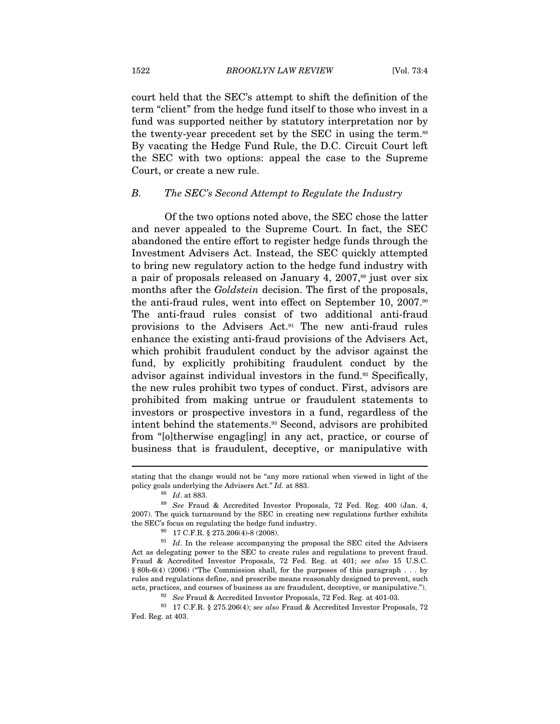court held that the SEC's attempt to shift the definition of the term "client" from the hedge fund itself to those who invest in a fund was supported neither by statutory interpretation nor by the twenty-year precedent set by the SEC in using the term.<sup>88</sup> By vacating the Hedge Fund Rule, the D.C. Circuit Court left the SEC with two options: appeal the case to the Supreme Court, or create a new rule.

#### B. The SEC's Second Attempt to Regulate the Industry

Of the two options noted above, the SEC chose the latter and never appealed to the Supreme Court. In fact, the SEC abandoned the entire effort to register hedge funds through the Investment Advisers Act. Instead, the SEC quickly attempted to bring new regulatory action to the hedge fund industry with a pair of proposals released on January 4,  $2007$ ,<sup>89</sup> just over six months after the *Goldstein* decision. The first of the proposals, the anti-fraud rules, went into effect on September 10, 2007.90 The anti-fraud rules consist of two additional anti-fraud provisions to the Advisers Act.91 The new anti-fraud rules enhance the existing anti-fraud provisions of the Advisers Act, which prohibit fraudulent conduct by the advisor against the fund, by explicitly prohibiting fraudulent conduct by the advisor against individual investors in the fund.<sup>92</sup> Specifically, the new rules prohibit two types of conduct. First, advisors are prohibited from making untrue or fraudulent statements to investors or prospective investors in a fund, regardless of the intent behind the statements.93 Second, advisors are prohibited from "[o]therwise engag[ing] in any act, practice, or course of business that is fraudulent, deceptive, or manipulative with

stating that the change would not be "any more rational when viewed in light of the policy goals underlying the Advisers Act."  $Id.$  at 883.<br><sup>88</sup>  $Id.$  at 883.<br><sup>89</sup> See Fraud & Accredited Investor Proposals, 72 Fed. Reg. 400 (Jan. 4,

<sup>2007).</sup> The quick turnaround by the SEC in creating new regulations further exhibits the SEC's focus on regulating the hedge fund industry.<br> $^{90}$  17 C.F.R. § 275.206(4)-8 (2008).

 $91$  *Id.* In the release accompanying the proposal the SEC cited the Advisers Act as delegating power to the SEC to create rules and regulations to prevent fraud. Fraud & Accredited Investor Proposals, 72 Fed. Reg. at 401; see also 15 U.S.C. § 80b-6(4) (2006) ("The Commission shall, for the purposes of this paragraph . . . by rules and regulations define, and prescribe means reasonably designed to prevent, such acts, practices, and courses of business as are fraudulent, deceptive, or manipulative.").<br><sup>92</sup> See Fraud & Accredited Investor Proposals, 72 Fed. Reg. at 401-03.<br><sup>93</sup> 17 C.F.R. § 275.206(4); *see also* Fraud & Accredited

Fed. Reg. at 403.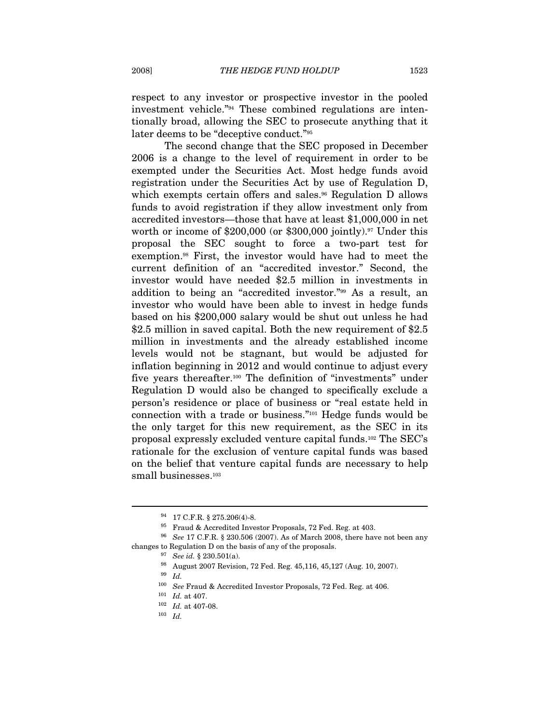respect to any investor or prospective investor in the pooled investment vehicle."94 These combined regulations are intentionally broad, allowing the SEC to prosecute anything that it later deems to be "deceptive conduct."95

The second change that the SEC proposed in December 2006 is a change to the level of requirement in order to be exempted under the Securities Act. Most hedge funds avoid registration under the Securities Act by use of Regulation D, which exempts certain offers and sales.<sup>96</sup> Regulation D allows funds to avoid registration if they allow investment only from accredited investors—those that have at least \$1,000,000 in net worth or income of  $$200,000$  (or  $$300,000$  jointly).<sup>97</sup> Under this proposal the SEC sought to force a two-part test for exemption.98 First, the investor would have had to meet the current definition of an "accredited investor." Second, the investor would have needed \$2.5 million in investments in addition to being an "accredited investor."99 As a result, an investor who would have been able to invest in hedge funds based on his \$200,000 salary would be shut out unless he had \$2.5 million in saved capital. Both the new requirement of \$2.5 million in investments and the already established income levels would not be stagnant, but would be adjusted for inflation beginning in 2012 and would continue to adjust every five years thereafter.<sup>100</sup> The definition of "investments" under Regulation D would also be changed to specifically exclude a person's residence or place of business or "real estate held in connection with a trade or business."101 Hedge funds would be the only target for this new requirement, as the SEC in its proposal expressly excluded venture capital funds.102 The SEC's rationale for the exclusion of venture capital funds was based on the belief that venture capital funds are necessary to help small businesses.<sup>103</sup>

 $^{94}$  17 C.F.R. § 275.206(4)-8.<br> $^{95}$  Fraud & Accredited Investor Proposals, 72 Fed. Reg. at 403.<br> $^{96}$  See 17 C.F.R. § 230.506 (2007). As of March 2008, there have not been any changes to Regulation D on the basis of any of the proposals.  $$^{97}$  See id. § 230.501(a).  $$^{98}$  August 2007 Revision, 72 Fed. Reg. 45,116, 45,127 (Aug. 10, 2007).

<sup>99</sup> Id.

 $^{100}\;$  See Fraud & Accredited Investor Proposals, 72 Fed. Reg. at 406.

<sup>&</sup>lt;sup>101</sup> *Id.* at 407.<br><sup>102</sup> *Id.* at 407-08.<br><sup>103</sup> *Id.*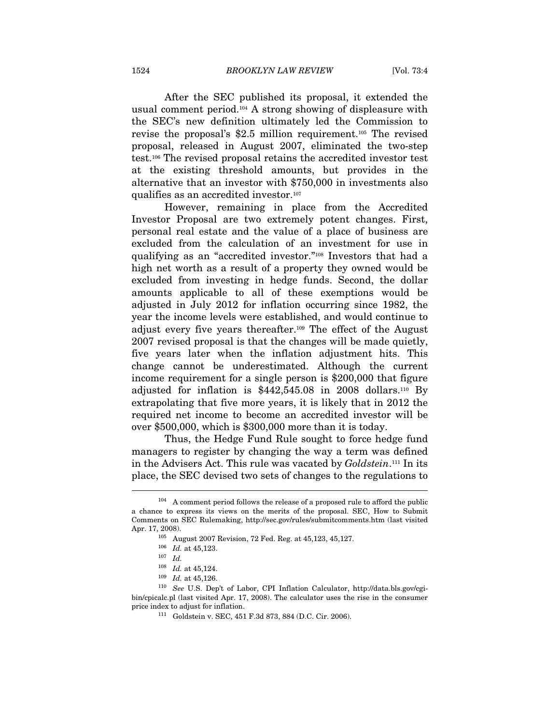After the SEC published its proposal, it extended the usual comment period.104 A strong showing of displeasure with the SEC's new definition ultimately led the Commission to revise the proposal's \$2.5 million requirement.105 The revised proposal, released in August 2007, eliminated the two-step test.106 The revised proposal retains the accredited investor test at the existing threshold amounts, but provides in the alternative that an investor with \$750,000 in investments also qualifies as an accredited investor.107

However, remaining in place from the Accredited Investor Proposal are two extremely potent changes. First, personal real estate and the value of a place of business are excluded from the calculation of an investment for use in qualifying as an "accredited investor."108 Investors that had a high net worth as a result of a property they owned would be excluded from investing in hedge funds. Second, the dollar amounts applicable to all of these exemptions would be adjusted in July 2012 for inflation occurring since 1982, the year the income levels were established, and would continue to adjust every five years thereafter.109 The effect of the August 2007 revised proposal is that the changes will be made quietly, five years later when the inflation adjustment hits. This change cannot be underestimated. Although the current income requirement for a single person is \$200,000 that figure adjusted for inflation is \$442,545.08 in 2008 dollars.110 By extrapolating that five more years, it is likely that in 2012 the required net income to become an accredited investor will be over \$500,000, which is \$300,000 more than it is today.

Thus, the Hedge Fund Rule sought to force hedge fund managers to register by changing the way a term was defined in the Advisers Act. This rule was vacated by Goldstein.<sup>111</sup> In its place, the SEC devised two sets of changes to the regulations to l

 $104$  A comment period follows the release of a proposed rule to afford the public a chance to express its views on the merits of the proposal. SEC, How to Submit Comments on SEC Rulemaking, http://sec.gov/rules/submitcomments.htm (last visited Apr. 17, 2008). 105 August 2007 Revision, 72 Fed. Reg. at 45,123, 45,127. 106 Id. at 45,123. 107 Id.

<sup>&</sup>lt;sup>108</sup> *Id.* at 45,124.<br><sup>109</sup> *Id.* at 45,126.

<sup>&</sup>lt;sup>110</sup> See U.S. Dep't of Labor, CPI Inflation Calculator, http://data.bls.gov/cgibin/cpicalc.pl (last visited Apr. 17, 2008). The calculator uses the rise in the consumer price index to adjust for inflation.<br><sup>111</sup> Goldstein v. SEC, 451 F.3d 873, 884 (D.C. Cir. 2006).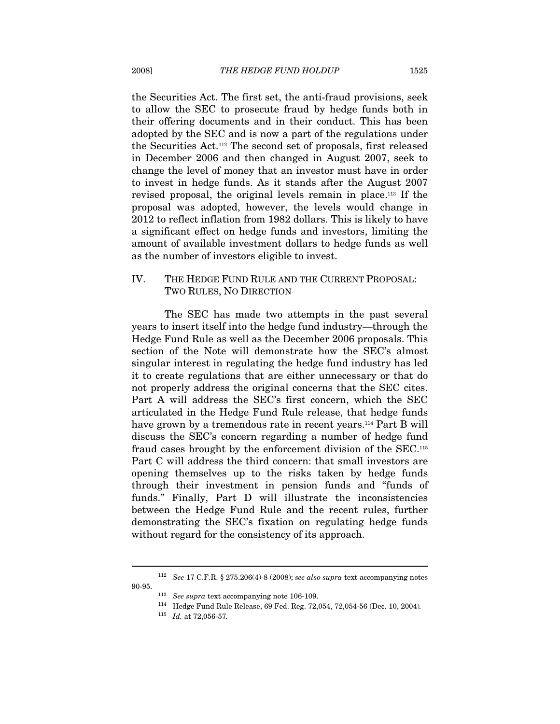the Securities Act. The first set, the anti-fraud provisions, seek to allow the SEC to prosecute fraud by hedge funds both in their offering documents and in their conduct. This has been adopted by the SEC and is now a part of the regulations under the Securities Act.112 The second set of proposals, first released in December 2006 and then changed in August 2007, seek to change the level of money that an investor must have in order to invest in hedge funds. As it stands after the August 2007 revised proposal, the original levels remain in place.113 If the proposal was adopted, however, the levels would change in 2012 to reflect inflation from 1982 dollars. This is likely to have a significant effect on hedge funds and investors, limiting the amount of available investment dollars to hedge funds as well as the number of investors eligible to invest.

### IV. THE HEDGE FUND RULE AND THE CURRENT PROPOSAL: TWO RULES, NO DIRECTION

The SEC has made two attempts in the past several years to insert itself into the hedge fund industry—through the Hedge Fund Rule as well as the December 2006 proposals. This section of the Note will demonstrate how the SEC's almost singular interest in regulating the hedge fund industry has led it to create regulations that are either unnecessary or that do not properly address the original concerns that the SEC cites. Part A will address the SEC's first concern, which the SEC articulated in the Hedge Fund Rule release, that hedge funds have grown by a tremendous rate in recent years.<sup>114</sup> Part B will discuss the SEC's concern regarding a number of hedge fund fraud cases brought by the enforcement division of the SEC.115 Part C will address the third concern: that small investors are opening themselves up to the risks taken by hedge funds through their investment in pension funds and "funds of funds." Finally, Part D will illustrate the inconsistencies between the Hedge Fund Rule and the recent rules, further demonstrating the SEC's fixation on regulating hedge funds without regard for the consistency of its approach.

 $^{112}$  See 17 C.F.R. § 275.206(4)-8 (2008); see also supra text accompanying notes

<sup>90-95.&</sup>lt;br><sup>113</sup> See supra text accompanying note 106-109.<br><sup>114</sup> Hedge Fund Rule Release, 69 Fed. Reg. 72,054, 72,054-56 (Dec. 10, 2004).

 $115$  *Id.* at 72,056-57.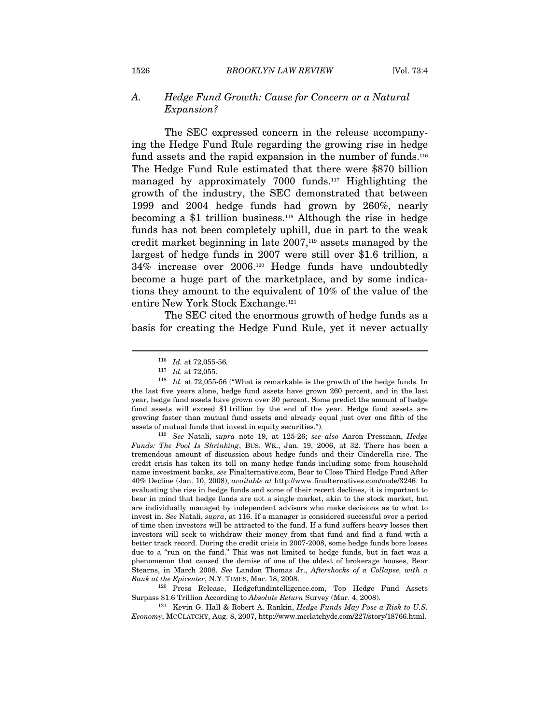#### A. Hedge Fund Growth: Cause for Concern or a Natural Expansion?

The SEC expressed concern in the release accompanying the Hedge Fund Rule regarding the growing rise in hedge fund assets and the rapid expansion in the number of funds.<sup>116</sup> The Hedge Fund Rule estimated that there were \$870 billion managed by approximately 7000 funds.<sup>117</sup> Highlighting the growth of the industry, the SEC demonstrated that between 1999 and 2004 hedge funds had grown by 260%, nearly becoming a \$1 trillion business.118 Although the rise in hedge funds has not been completely uphill, due in part to the weak credit market beginning in late 2007,<sup>119</sup> assets managed by the largest of hedge funds in 2007 were still over \$1.6 trillion, a 34% increase over 2006.120 Hedge funds have undoubtedly become a huge part of the marketplace, and by some indications they amount to the equivalent of 10% of the value of the entire New York Stock Exchange.121

The SEC cited the enormous growth of hedge funds as a basis for creating the Hedge Fund Rule, yet it never actually

 $\overline{a}$ 

Funds: The Pool Is Shrinking, BUS. WK., Jan. 19, 2006, at 32. There has been a tremendous amount of discussion about hedge funds and their Cinderella rise. The credit crisis has taken its toll on many hedge funds including some from household name investment banks, see Finalternative.com, Bear to Close Third Hedge Fund After 40% Decline (Jan. 10, 2008), available at http://www.finalternatives.com/node/3246. In evaluating the rise in hedge funds and some of their recent declines, it is important to bear in mind that hedge funds are not a single market, akin to the stock market, but are individually managed by independent advisors who make decisions as to what to invest in. See Natali, supra, at 116. If a manager is considered successful over a period of time then investors will be attracted to the fund. If a fund suffers heavy losses then investors will seek to withdraw their money from that fund and find a fund with a better track record. During the credit crisis in 2007-2008, some hedge funds bore losses due to a "run on the fund." This was not limited to hedge funds, but in fact was a phenomenon that caused the demise of one of the oldest of brokerage houses, Bear Stearns, in March 2008. See Landon Thomas Jr., Aftershocks of a Collapse, with a Bank at the Epicenter, N.Y. TIMES, Mar. 18, 2008.<br><sup>120</sup> Press Release, Hedgefundintelligence.com, Top Hedge Fund Assets

Surpass \$1.6 Trillion According to Absolute Return Survey (Mar. 4, 2008).<br><sup>121</sup> Kevin G. Hall & Robert A. Rankin, *Hedge Funds May Pose a Risk to U.S.* 

Economy, MCCLATCHY, Aug. 8, 2007, http://www.mcclatchydc.com/227/story/18766.html.

<sup>&</sup>lt;sup>116</sup> *Id.* at 72,055-56.<br><sup>117</sup> *Id.* at 72,055.

 $118$  Id. at 72,055-56 ("What is remarkable is the growth of the hedge funds. In the last five years alone, hedge fund assets have grown 260 percent, and in the last year, hedge fund assets have grown over 30 percent. Some predict the amount of hedge fund assets will exceed \$1 trillion by the end of the year. Hedge fund assets are growing faster than mutual fund assets and already equal just over one fifth of the assets of mutual funds that invest in equity securities.").<br><sup>119</sup> See Natali, supra note 19, at 125-26; see also Aaron Pressman, Hedge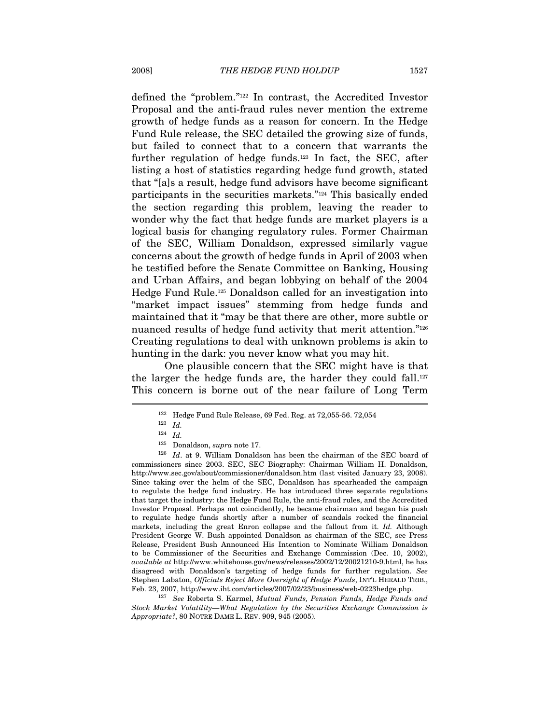defined the "problem."122 In contrast, the Accredited Investor Proposal and the anti-fraud rules never mention the extreme growth of hedge funds as a reason for concern. In the Hedge Fund Rule release, the SEC detailed the growing size of funds, but failed to connect that to a concern that warrants the further regulation of hedge funds.<sup>123</sup> In fact, the SEC, after listing a host of statistics regarding hedge fund growth, stated that "[a]s a result, hedge fund advisors have become significant participants in the securities markets."124 This basically ended the section regarding this problem, leaving the reader to wonder why the fact that hedge funds are market players is a logical basis for changing regulatory rules. Former Chairman of the SEC, William Donaldson, expressed similarly vague concerns about the growth of hedge funds in April of 2003 when he testified before the Senate Committee on Banking, Housing and Urban Affairs, and began lobbying on behalf of the 2004 Hedge Fund Rule.125 Donaldson called for an investigation into "market impact issues" stemming from hedge funds and maintained that it "may be that there are other, more subtle or nuanced results of hedge fund activity that merit attention."<sup>126</sup> Creating regulations to deal with unknown problems is akin to hunting in the dark: you never know what you may hit.

One plausible concern that the SEC might have is that the larger the hedge funds are, the harder they could fall.<sup>127</sup> This concern is borne out of the near failure of Long Term  $\overline{a}$ 

 $127$  See Roberta S. Karmel, Mutual Funds, Pension Funds, Hedge Funds and Stock Market Volatility—What Regulation by the Securities Exchange Commission is Appropriate?, 80 NOTRE DAME L. REV. 909, 945 (2005).

<sup>&</sup>lt;sup>122</sup> Hedge Fund Rule Release, 69 Fed. Reg. at 72,055-56. 72,054<br><sup>123</sup> Id.

<sup>124</sup> Id.

 $^{125}\,$  Donaldson,  $supra$  note 17.  $^{126}\,$   $Id.$  at 9. William Donaldson has been the chairman of the SEC board of commissioners since 2003. SEC, SEC Biography: Chairman William H. Donaldson, http://www.sec.gov/about/commissioner/donaldson.htm (last visited January 23, 2008). Since taking over the helm of the SEC, Donaldson has spearheaded the campaign to regulate the hedge fund industry. He has introduced three separate regulations that target the industry: the Hedge Fund Rule, the anti-fraud rules, and the Accredited Investor Proposal. Perhaps not coincidently, he became chairman and began his push to regulate hedge funds shortly after a number of scandals rocked the financial markets, including the great Enron collapse and the fallout from it. Id. Although President George W. Bush appointed Donaldson as chairman of the SEC, see Press Release, President Bush Announced His Intention to Nominate William Donaldson to be Commissioner of the Securities and Exchange Commission (Dec. 10, 2002), available at http://www.whitehouse.gov/news/releases/2002/12/20021210-9.html, he has disagreed with Donaldson's targeting of hedge funds for further regulation. See Stephen Labaton, Officials Reject More Oversight of Hedge Funds, INT'L HERALD TRIB., Feb. 23, 2007, http://www.iht.com/articles/2007/02/23/business/web-0223hedge.php.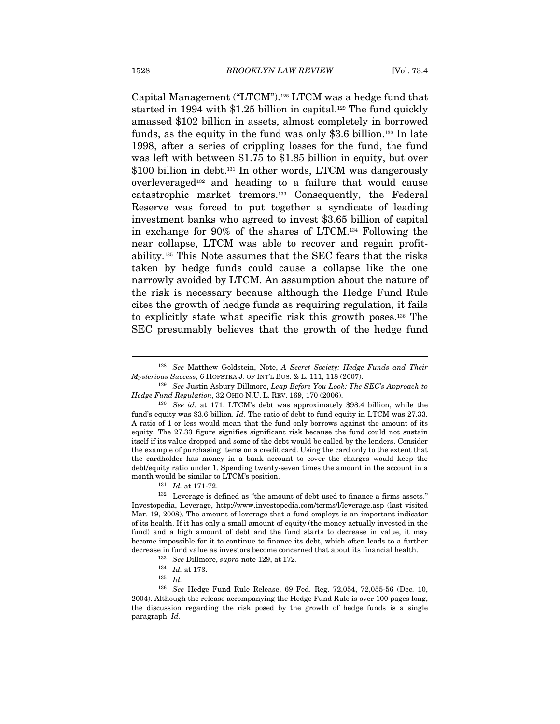Capital Management ("LTCM").128 LTCM was a hedge fund that started in 1994 with  $$1.25$  billion in capital.<sup>129</sup> The fund quickly amassed \$102 billion in assets, almost completely in borrowed funds, as the equity in the fund was only \$3.6 billion.130 In late 1998, after a series of crippling losses for the fund, the fund was left with between \$1.75 to \$1.85 billion in equity, but over \$100 billion in debt.<sup>131</sup> In other words, LTCM was dangerously overleveraged132 and heading to a failure that would cause catastrophic market tremors.133 Consequently, the Federal Reserve was forced to put together a syndicate of leading investment banks who agreed to invest \$3.65 billion of capital in exchange for 90% of the shares of LTCM.134 Following the near collapse, LTCM was able to recover and regain profitability.135 This Note assumes that the SEC fears that the risks taken by hedge funds could cause a collapse like the one narrowly avoided by LTCM. An assumption about the nature of the risk is necessary because although the Hedge Fund Rule cites the growth of hedge funds as requiring regulation, it fails to explicitly state what specific risk this growth poses.136 The SEC presumably believes that the growth of the hedge fund

 $^{128}$  See Matthew Goldstein, Note,  $A$  Secret Society: Hedge Funds and Their Mysterious Success, 6 HOFSTRA J. OF INT'L BUS. & L. 111, 118 (2007).

<sup>&</sup>lt;sup>129</sup> See Justin Asbury Dillmore, *Leap Before You Look: The SEC's Approach to* Hedge Fund Regulation, 32 OHIO N.U. L. REV. 169, 170 (2006).<br><sup>130</sup> See id. at 171. LTCM's debt was approximately \$98.4 billion, while the

fund's equity was \$3.6 billion. Id. The ratio of debt to fund equity in LTCM was 27.33. A ratio of 1 or less would mean that the fund only borrows against the amount of its equity. The 27.33 figure signifies significant risk because the fund could not sustain itself if its value dropped and some of the debt would be called by the lenders. Consider the example of purchasing items on a credit card. Using the card only to the extent that the cardholder has money in a bank account to cover the charges would keep the debt/equity ratio under 1. Spending twenty-seven times the amount in the account in a

month would be similar to LTCM's position.  $131$  Id. at 171-72.<br><sup>132</sup> Leverage is defined as "the amount of debt used to finance a firms assets." Investopedia, Leverage, http://www.investopedia.com/terms/l/leverage.asp (last visited Mar. 19, 2008). The amount of leverage that a fund employs is an important indicator of its health. If it has only a small amount of equity (the money actually invested in the fund) and a high amount of debt and the fund starts to decrease in value, it may become impossible for it to continue to finance its debt, which often leads to a further decrease in fund value as investors become concerned that about its financial health. <sup>133</sup> See Dillmore, *supra* note 129, at 172.<br><sup>134</sup> Id. at 173.<br><sup>135</sup> Id.

<sup>136</sup> See Hedge Fund Rule Release, 69 Fed. Reg. 72,054, 72,055-56 (Dec. 10, 2004). Although the release accompanying the Hedge Fund Rule is over 100 pages long, the discussion regarding the risk posed by the growth of hedge funds is a single paragraph. Id.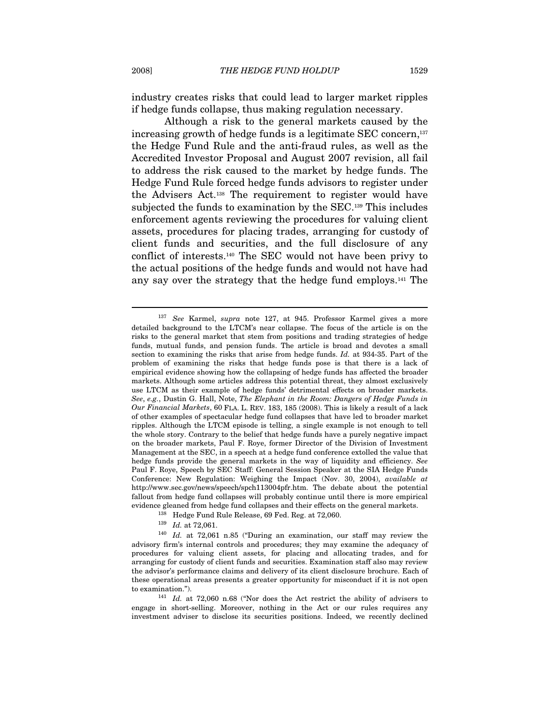industry creates risks that could lead to larger market ripples if hedge funds collapse, thus making regulation necessary.

Although a risk to the general markets caused by the increasing growth of hedge funds is a legitimate SEC concern,137 the Hedge Fund Rule and the anti-fraud rules, as well as the Accredited Investor Proposal and August 2007 revision, all fail to address the risk caused to the market by hedge funds. The Hedge Fund Rule forced hedge funds advisors to register under the Advisers Act.138 The requirement to register would have subjected the funds to examination by the SEC.<sup>139</sup> This includes enforcement agents reviewing the procedures for valuing client assets, procedures for placing trades, arranging for custody of client funds and securities, and the full disclosure of any conflict of interests.140 The SEC would not have been privy to the actual positions of the hedge funds and would not have had any say over the strategy that the hedge fund employs.141 The

engage in short-selling. Moreover, nothing in the Act or our rules requires any investment adviser to disclose its securities positions. Indeed, we recently declined

<sup>137</sup> See Karmel, supra note 127, at 945. Professor Karmel gives a more detailed background to the LTCM's near collapse. The focus of the article is on the risks to the general market that stem from positions and trading strategies of hedge funds, mutual funds, and pension funds. The article is broad and devotes a small section to examining the risks that arise from hedge funds. Id. at 934-35. Part of the problem of examining the risks that hedge funds pose is that there is a lack of empirical evidence showing how the collapsing of hedge funds has affected the broader markets. Although some articles address this potential threat, they almost exclusively use LTCM as their example of hedge funds' detrimental effects on broader markets. See, e.g., Dustin G. Hall, Note, The Elephant in the Room: Dangers of Hedge Funds in Our Financial Markets, 60 FLA. L. REV. 183, 185 (2008). This is likely a result of a lack of other examples of spectacular hedge fund collapses that have led to broader market ripples. Although the LTCM episode is telling, a single example is not enough to tell the whole story. Contrary to the belief that hedge funds have a purely negative impact on the broader markets, Paul F. Roye, former Director of the Division of Investment Management at the SEC, in a speech at a hedge fund conference extolled the value that hedge funds provide the general markets in the way of liquidity and efficiency. See Paul F. Roye, Speech by SEC Staff: General Session Speaker at the SIA Hedge Funds Conference: New Regulation: Weighing the Impact (Nov. 30, 2004), available at http://www.sec.gov/news/speech/spch113004pfr.htm. The debate about the potential fallout from hedge fund collapses will probably continue until there is more empirical evidence gleaned from hedge fund collapses and their effects on the general markets.

<sup>138</sup> Hedge Fund Rule Release, 69 Fed. Reg. at 72,060.

<sup>&</sup>lt;sup>139</sup> Id. at 72,061.<br><sup>140</sup> Id. at 72,061 n.85 ("During an examination, our staff may review the advisory firm's internal controls and procedures; they may examine the adequacy of procedures for valuing client assets, for placing and allocating trades, and for arranging for custody of client funds and securities. Examination staff also may review the advisor's performance claims and delivery of its client disclosure brochure. Each of these operational areas presents a greater opportunity for misconduct if it is not open to examination.").  $141$  *Id.* at 72,060 n.68 ("Nor does the Act restrict the ability of advisers to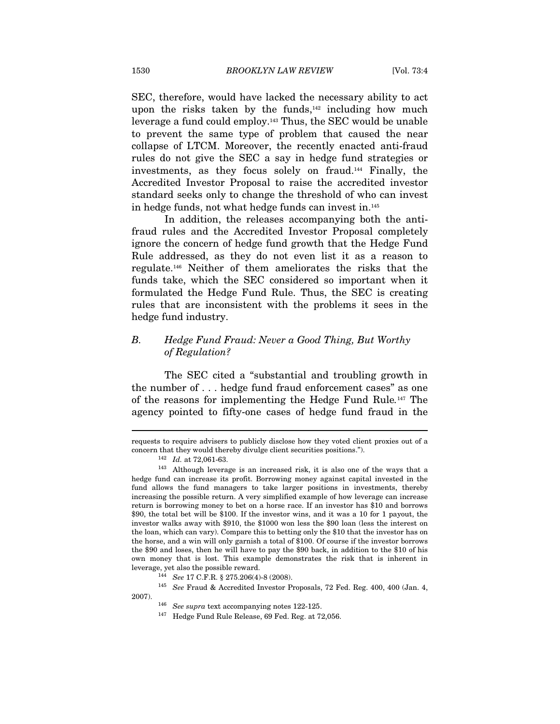SEC, therefore, would have lacked the necessary ability to act upon the risks taken by the funds, $142$  including how much leverage a fund could employ.143 Thus, the SEC would be unable to prevent the same type of problem that caused the near collapse of LTCM. Moreover, the recently enacted anti-fraud rules do not give the SEC a say in hedge fund strategies or investments, as they focus solely on fraud.144 Finally, the Accredited Investor Proposal to raise the accredited investor standard seeks only to change the threshold of who can invest in hedge funds, not what hedge funds can invest in.145

In addition, the releases accompanying both the antifraud rules and the Accredited Investor Proposal completely ignore the concern of hedge fund growth that the Hedge Fund Rule addressed, as they do not even list it as a reason to regulate.146 Neither of them ameliorates the risks that the funds take, which the SEC considered so important when it formulated the Hedge Fund Rule. Thus, the SEC is creating rules that are inconsistent with the problems it sees in the hedge fund industry.

## B. Hedge Fund Fraud: Never a Good Thing, But Worthy of Regulation?

The SEC cited a "substantial and troubling growth in the number of . . . hedge fund fraud enforcement cases" as one of the reasons for implementing the Hedge Fund Rule.147 The agency pointed to fifty-one cases of hedge fund fraud in the

 $\overline{a}$ 

2007).<br><sup>146</sup> See supra text accompanying notes 122-125.<br><sup>147</sup> Hedge Fund Rule Release, 69 Fed. Reg. at 72,056.

requests to require advisers to publicly disclose how they voted client proxies out of a

concern that they would thereby divulge client securities positions.").<br><sup>142</sup> Id. at 72,061-63.<br><sup>143</sup> Although leverage is an increased risk, it is also one of the ways that a hedge fund can increase its profit. Borrowing money against capital invested in the fund allows the fund managers to take larger positions in investments, thereby increasing the possible return. A very simplified example of how leverage can increase return is borrowing money to bet on a horse race. If an investor has \$10 and borrows \$90, the total bet will be \$100. If the investor wins, and it was a 10 for 1 payout, the investor walks away with \$910, the \$1000 won less the \$90 loan (less the interest on the loan, which can vary). Compare this to betting only the \$10 that the investor has on the horse, and a win will only garnish a total of \$100. Of course if the investor borrows the \$90 and loses, then he will have to pay the \$90 back, in addition to the \$10 of his own money that is lost. This example demonstrates the risk that is inherent in % leverage, yet also the possible reward. 144 See 17 C.F.R. § 275.206(4)-8 (2008). 145 See Fraud & Accredited Investor Proposals, 72 Fed. Reg. 400, 400 (Jan. 4,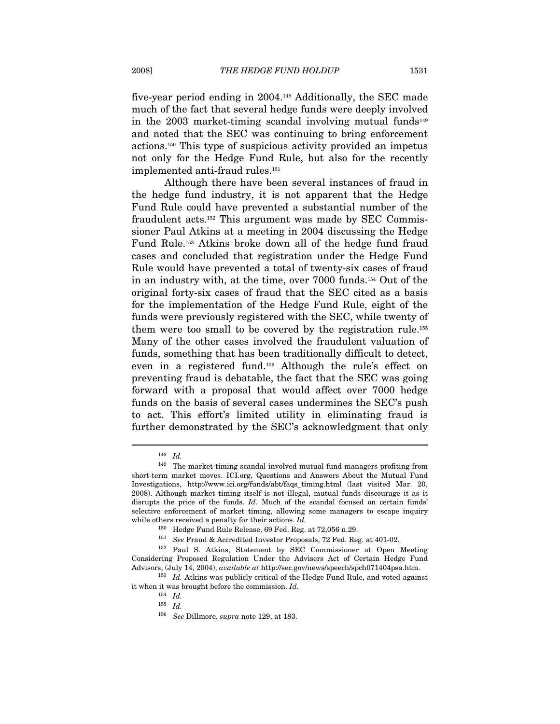five-year period ending in 2004.148 Additionally, the SEC made much of the fact that several hedge funds were deeply involved in the  $2003$  market-timing scandal involving mutual funds<sup>149</sup> and noted that the SEC was continuing to bring enforcement actions.150 This type of suspicious activity provided an impetus not only for the Hedge Fund Rule, but also for the recently implemented anti-fraud rules.151

Although there have been several instances of fraud in the hedge fund industry, it is not apparent that the Hedge Fund Rule could have prevented a substantial number of the fraudulent acts.152 This argument was made by SEC Commissioner Paul Atkins at a meeting in 2004 discussing the Hedge Fund Rule.153 Atkins broke down all of the hedge fund fraud cases and concluded that registration under the Hedge Fund Rule would have prevented a total of twenty-six cases of fraud in an industry with, at the time, over 7000 funds.154 Out of the original forty-six cases of fraud that the SEC cited as a basis for the implementation of the Hedge Fund Rule, eight of the funds were previously registered with the SEC, while twenty of them were too small to be covered by the registration rule.155 Many of the other cases involved the fraudulent valuation of funds, something that has been traditionally difficult to detect, even in a registered fund.156 Although the rule's effect on preventing fraud is debatable, the fact that the SEC was going forward with a proposal that would affect over 7000 hedge funds on the basis of several cases undermines the SEC's push to act. This effort's limited utility in eliminating fraud is further demonstrated by the SEC's acknowledgment that only

<sup>148</sup> Id.

<sup>149</sup> The market-timing scandal involved mutual fund managers profiting from short-term market moves. ICI.org, Questions and Answers About the Mutual Fund Investigations, http://www.ici.org/funds/abt/faqs\_timing.html (last visited Mar. 20, 2008). Although market timing itself is not illegal, mutual funds discourage it as it disrupts the price of the funds. Id. Much of the scandal focused on certain funds' selective enforcement of market timing, allowing some managers to escape inquiry while others received a penalty for their actions. Id.

<sup>&</sup>lt;sup>150</sup> Hedge Fund Rule Release, 69 Fed. Reg. at 72,056 n.29.<br><sup>151</sup> See Fraud & Accredited Investor Proposals, 72 Fed. Reg. at 401-02.<br><sup>152</sup> Paul S. Atkins, Statement by SEC Commissioner at Open Meeting Considering Proposed Regulation Under the Advisers Act of Certain Hedge Fund Advisors, (July 14, 2004), available at http://sec.gov/news/speech/spch071404psa.htm. 153 Id. Atkins was publicly critical of the Hedge Fund Rule, and voted against

it when it was brought before the commission. Id.

<sup>154</sup> Id.

 $^{155}$   $\,$   $\!Id.$ 

<sup>156</sup> See Dillmore, supra note 129, at 183.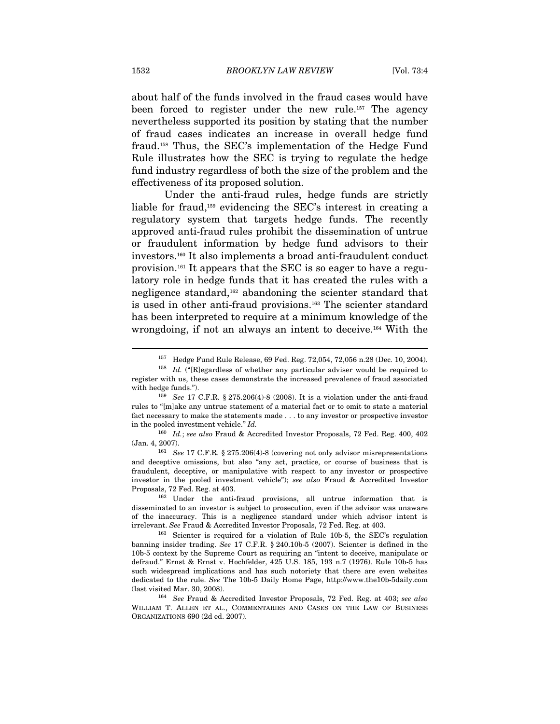about half of the funds involved in the fraud cases would have been forced to register under the new rule.157 The agency nevertheless supported its position by stating that the number of fraud cases indicates an increase in overall hedge fund fraud.158 Thus, the SEC's implementation of the Hedge Fund Rule illustrates how the SEC is trying to regulate the hedge fund industry regardless of both the size of the problem and the effectiveness of its proposed solution.

Under the anti-fraud rules, hedge funds are strictly liable for fraud,159 evidencing the SEC's interest in creating a regulatory system that targets hedge funds. The recently approved anti-fraud rules prohibit the dissemination of untrue or fraudulent information by hedge fund advisors to their investors.160 It also implements a broad anti-fraudulent conduct provision.161 It appears that the SEC is so eager to have a regulatory role in hedge funds that it has created the rules with a negligence standard,162 abandoning the scienter standard that is used in other anti-fraud provisions.163 The scienter standard has been interpreted to require at a minimum knowledge of the wrongdoing, if not an always an intent to deceive.<sup>164</sup> With the

<sup>157</sup> Hedge Fund Rule Release, 69 Fed. Reg. 72,054, 72,056 n.28 (Dec. 10, 2004).

 $158$  *Id.* ("[R]egardless of whether any particular adviser would be required to register with us, these cases demonstrate the increased prevalence of fraud associated with hedge funds.").

 $159$  See 17 C.F.R. § 275.206(4)-8 (2008). It is a violation under the anti-fraud rules to "[m]ake any untrue statement of a material fact or to omit to state a material fact necessary to make the statements made . . . to any investor or prospective investor in the pooled investment vehicle." Id.

 $^{160}\;$  Id.; see also Fraud & Accredited Investor Proposals, 72 Fed. Reg. 400, 402 (Jan. 4, 2007).<br><sup>161</sup> See 17 C.F.R. § 275.206(4)-8 (covering not only advisor misrepresentations

and deceptive omissions, but also "any act, practice, or course of business that is fraudulent, deceptive, or manipulative with respect to any investor or prospective investor in the pooled investment vehicle"); see also Fraud & Accredited Investor

Proposals, 72 Fed. Reg. at 403.<br><sup>162</sup> Under the anti-fraud provisions, all untrue information that is disseminated to an investor is subject to prosecution, even if the advisor was unaware of the inaccuracy. This is a negligence standard under which advisor intent is irrelevant. See Fraud & Accredited Investor Proposals, 72 Fed. Reg. at 403.<br><sup>163</sup> Scienter is required for a violation of Rule 10b-5, the SEC's regulation

banning insider trading. See 17 C.F.R. § 240.10b-5 (2007). Scienter is defined in the 10b-5 context by the Supreme Court as requiring an "intent to deceive, manipulate or defraud." Ernst & Ernst v. Hochfelder, 425 U.S. 185, 193 n.7 (1976). Rule 10b-5 has such widespread implications and has such notoriety that there are even websites dedicated to the rule. See The 10b-5 Daily Home Page, http://www.the10b-5daily.com (last visited Mar. 30, 2008).<br><sup>164</sup> See Fraud & Accredited Investor Proposals, 72 Fed. Reg. at 403; see also

WILLIAM T. ALLEN ET AL., COMMENTARIES AND CASES ON THE LAW OF BUSINESS ORGANIZATIONS 690 (2d ed. 2007).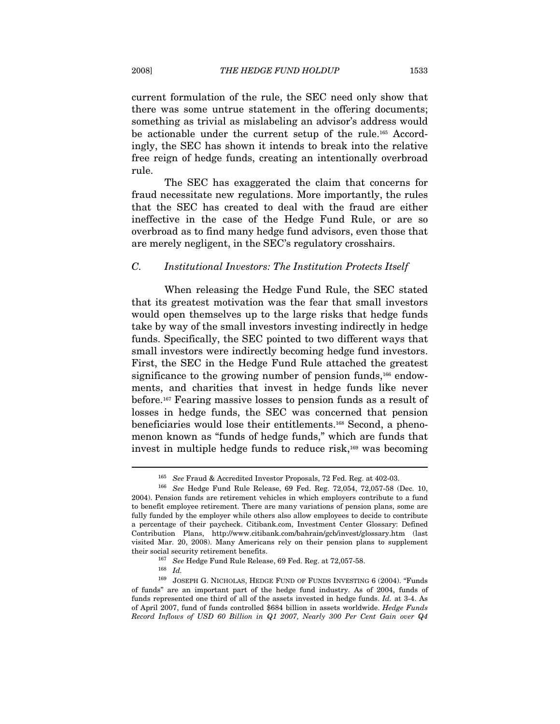current formulation of the rule, the SEC need only show that there was some untrue statement in the offering documents; something as trivial as mislabeling an advisor's address would be actionable under the current setup of the rule.165 Accordingly, the SEC has shown it intends to break into the relative free reign of hedge funds, creating an intentionally overbroad rule.

The SEC has exaggerated the claim that concerns for fraud necessitate new regulations. More importantly, the rules that the SEC has created to deal with the fraud are either ineffective in the case of the Hedge Fund Rule, or are so overbroad as to find many hedge fund advisors, even those that are merely negligent, in the SEC's regulatory crosshairs.

#### C. Institutional Investors: The Institution Protects Itself

When releasing the Hedge Fund Rule, the SEC stated that its greatest motivation was the fear that small investors would open themselves up to the large risks that hedge funds take by way of the small investors investing indirectly in hedge funds. Specifically, the SEC pointed to two different ways that small investors were indirectly becoming hedge fund investors. First, the SEC in the Hedge Fund Rule attached the greatest significance to the growing number of pension funds,<sup>166</sup> endowments, and charities that invest in hedge funds like never before.167 Fearing massive losses to pension funds as a result of losses in hedge funds, the SEC was concerned that pension beneficiaries would lose their entitlements.168 Second, a phenomenon known as "funds of hedge funds," which are funds that invest in multiple hedge funds to reduce risk, $169$  was becoming

<sup>&</sup>lt;sup>165</sup> See Fraud & Accredited Investor Proposals, 72 Fed. Reg. at 402-03.<br><sup>166</sup> See Hedge Fund Rule Release, 69 Fed. Reg. 72,054, 72,057-58 (Dec. 10, 2004). Pension funds are retirement vehicles in which employers contribute to a fund to benefit employee retirement. There are many variations of pension plans, some are fully funded by the employer while others also allow employees to decide to contribute a percentage of their paycheck. Citibank.com, Investment Center Glossary: Defined Contribution Plans, http://www.citibank.com/bahrain/gcb/invest/glossary.htm (last visited Mar. 20, 2008). Many Americans rely on their pension plans to supplement their social security retirement benefits.<br><sup>167</sup> See Hedge Fund Rule Release, 69 Fed. Reg. at 72,057-58.<br><sup>168</sup> Id.

 $^{169}\,$  JOSEPH G. NICHOLAS, HEDGE FUND OF FUNDS INVESTING 6 (2004). "Funds of funds" are an important part of the hedge fund industry. As of 2004, funds of funds represented one third of all of the assets invested in hedge funds. Id. at 3-4. As of April 2007, fund of funds controlled \$684 billion in assets worldwide. Hedge Funds Record Inflows of USD 60 Billion in Q1 2007, Nearly 300 Per Cent Gain over Q4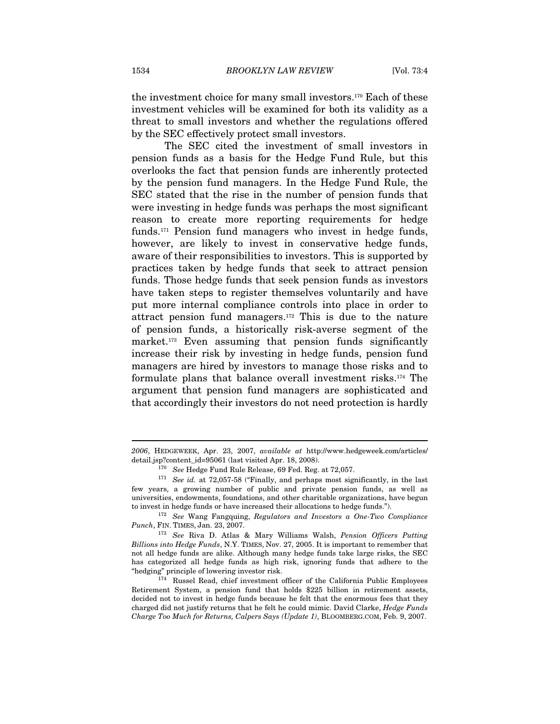the investment choice for many small investors.170 Each of these investment vehicles will be examined for both its validity as a threat to small investors and whether the regulations offered by the SEC effectively protect small investors.

The SEC cited the investment of small investors in pension funds as a basis for the Hedge Fund Rule, but this overlooks the fact that pension funds are inherently protected by the pension fund managers. In the Hedge Fund Rule, the SEC stated that the rise in the number of pension funds that were investing in hedge funds was perhaps the most significant reason to create more reporting requirements for hedge funds.171 Pension fund managers who invest in hedge funds, however, are likely to invest in conservative hedge funds, aware of their responsibilities to investors. This is supported by practices taken by hedge funds that seek to attract pension funds. Those hedge funds that seek pension funds as investors have taken steps to register themselves voluntarily and have put more internal compliance controls into place in order to attract pension fund managers.172 This is due to the nature of pension funds, a historically risk-averse segment of the market.<sup>173</sup> Even assuming that pension funds significantly increase their risk by investing in hedge funds, pension fund managers are hired by investors to manage those risks and to formulate plans that balance overall investment risks.174 The argument that pension fund managers are sophisticated and that accordingly their investors do not need protection is hardly

<sup>2006</sup>, HEDGEWEEK, Apr. 23, 2007, available at http://www.hedgeweek.com/articles/ detail.jsp?content\_id=95061 (last visited Apr. 18, 2008).

<sup>&</sup>lt;sup>170</sup> See Hedge Fund Rule Release, 69 Fed. Reg. at 72,057.<br><sup>171</sup> See id. at 72,057-58 ("Finally, and perhaps most significantly, in the last few years, a growing number of public and private pension funds, as well as universities, endowments, foundations, and other charitable organizations, have begun to invest in hedge funds or have increased their allocations to hedge funds.").<br> $^{172}$  See Wang Fangquing, Regulators and Investors a One-Two Compliance

Punch, FIN. TIMES, Jan. 23, 2007.<br><sup>173</sup> See Riva D. Atlas & Mary Williams Walsh, Pension Officers Putting

Billions into Hedge Funds, N.Y. TIMES, Nov. 27, 2005. It is important to remember that not all hedge funds are alike. Although many hedge funds take large risks, the SEC has categorized all hedge funds as high risk, ignoring funds that adhere to the "hedging" principle of lowering investor risk. 174 Russel Read, chief investment officer of the California Public Employees

Retirement System, a pension fund that holds \$225 billion in retirement assets, decided not to invest in hedge funds because he felt that the enormous fees that they charged did not justify returns that he felt he could mimic. David Clarke, Hedge Funds Charge Too Much for Returns, Calpers Says (Update 1), BLOOMBERG.COM, Feb. 9, 2007.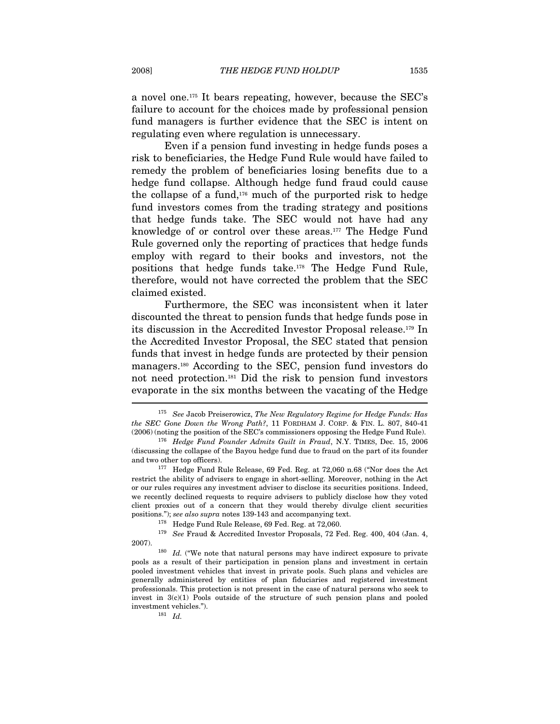a novel one.175 It bears repeating, however, because the SEC's failure to account for the choices made by professional pension fund managers is further evidence that the SEC is intent on regulating even where regulation is unnecessary.

Even if a pension fund investing in hedge funds poses a risk to beneficiaries, the Hedge Fund Rule would have failed to remedy the problem of beneficiaries losing benefits due to a hedge fund collapse. Although hedge fund fraud could cause the collapse of a fund,<sup>176</sup> much of the purported risk to hedge fund investors comes from the trading strategy and positions that hedge funds take. The SEC would not have had any knowledge of or control over these areas.177 The Hedge Fund Rule governed only the reporting of practices that hedge funds employ with regard to their books and investors, not the positions that hedge funds take.178 The Hedge Fund Rule, therefore, would not have corrected the problem that the SEC claimed existed.

Furthermore, the SEC was inconsistent when it later discounted the threat to pension funds that hedge funds pose in its discussion in the Accredited Investor Proposal release.179 In the Accredited Investor Proposal, the SEC stated that pension funds that invest in hedge funds are protected by their pension managers.180 According to the SEC, pension fund investors do not need protection.181 Did the risk to pension fund investors evaporate in the six months between the vacating of the Hedge I

 $175$  See Jacob Preiserowicz, The New Regulatory Regime for Hedge Funds: Has the SEC Gone Down the Wrong Path?, 11 FORDHAM J. CORP. & FIN. L. 807, 840-41 (2006) (noting the position of the SEC's commissioners opposing the Hedge Fund Rule).

<sup>&</sup>lt;sup>176</sup> Hedge Fund Founder Admits Guilt in Fraud, N.Y. TIMES, Dec. 15, 2006 (discussing the collapse of the Bayou hedge fund due to fraud on the part of its founder

and two other top officers).<br><sup>177</sup> Hedge Fund Rule Release, 69 Fed. Reg. at 72,060 n.68 ("Nor does the Act restrict the ability of advisers to engage in short-selling. Moreover, nothing in the Act or our rules requires any investment adviser to disclose its securities positions. Indeed, we recently declined requests to require advisers to publicly disclose how they voted client proxies out of a concern that they would thereby divulge client securities positions."); see also supra notes  $139-143$  and accompanying text.

 $178$  Hedge Fund Rule Release, 69 Fed. Reg. at 72,060.

 $^{179}$  See Fraud & Accredited Investor Proposals, 72 Fed. Reg. 400, 404 (Jan. 4, 2007).<br><sup>180</sup> *Id.* ("We note that natural persons may have indirect exposure to private

pools as a result of their participation in pension plans and investment in certain pooled investment vehicles that invest in private pools. Such plans and vehicles are generally administered by entities of plan fiduciaries and registered investment professionals. This protection is not present in the case of natural persons who seek to invest in  $3(c)(1)$  Pools outside of the structure of such pension plans and pooled investment vehicles.").  $181$  Id.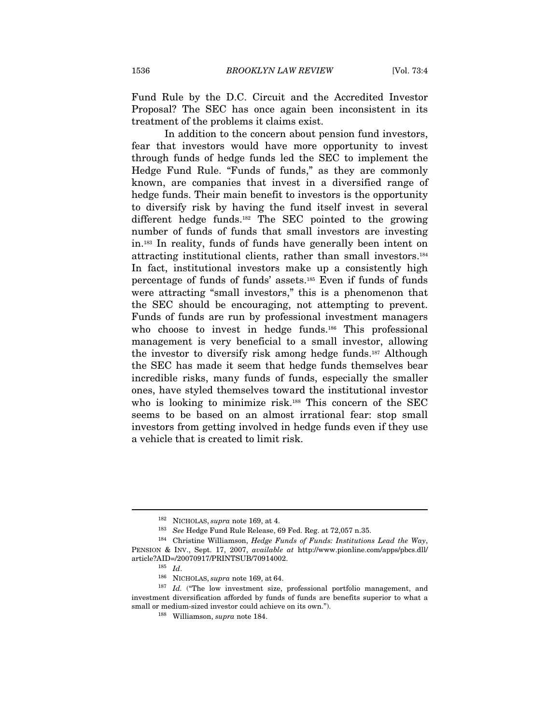Fund Rule by the D.C. Circuit and the Accredited Investor Proposal? The SEC has once again been inconsistent in its treatment of the problems it claims exist.

In addition to the concern about pension fund investors, fear that investors would have more opportunity to invest through funds of hedge funds led the SEC to implement the Hedge Fund Rule. "Funds of funds," as they are commonly known, are companies that invest in a diversified range of hedge funds. Their main benefit to investors is the opportunity to diversify risk by having the fund itself invest in several different hedge funds.182 The SEC pointed to the growing number of funds of funds that small investors are investing in.183 In reality, funds of funds have generally been intent on attracting institutional clients, rather than small investors.184 In fact, institutional investors make up a consistently high percentage of funds of funds' assets.185 Even if funds of funds were attracting "small investors," this is a phenomenon that the SEC should be encouraging, not attempting to prevent. Funds of funds are run by professional investment managers who choose to invest in hedge funds.<sup>186</sup> This professional management is very beneficial to a small investor, allowing the investor to diversify risk among hedge funds.187 Although the SEC has made it seem that hedge funds themselves bear incredible risks, many funds of funds, especially the smaller ones, have styled themselves toward the institutional investor who is looking to minimize risk.<sup>188</sup> This concern of the SEC seems to be based on an almost irrational fear: stop small investors from getting involved in hedge funds even if they use a vehicle that is created to limit risk.

<sup>&</sup>lt;sup>182</sup> NICHOLAS, *supra* note 169, at 4.<br><sup>183</sup> See Hedge Fund Rule Release, 69 Fed. Reg. at 72,057 n.35.<br><sup>184</sup> Christine Williamson, *Hedge Funds of Funds: Institutions Lead the Way*, PENSION & INV., Sept. 17, 2007, available at http://www.pionline.com/apps/pbcs.dll/ article?AID=/20070917/PRINTSUB/70914002.<br> $^{185}$  Id.

<sup>&</sup>lt;sup>186</sup> NICHOLAS, *supra* note 169, at 64.  $187$  *Id.* ("The low investment size, professional portfolio management, and investment diversification afforded by funds of funds are benefits superior to what a small or medium-sized investor could achieve on its own.").  $^{188}\,$  Williamson,  $supra$  note 184.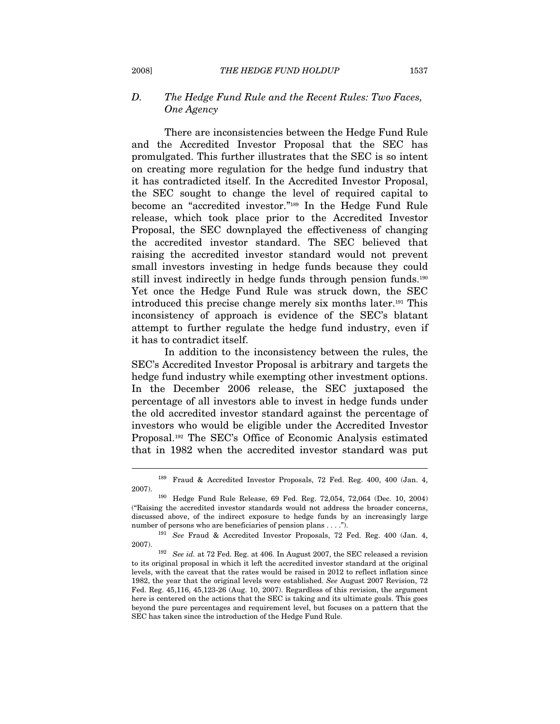#### D. The Hedge Fund Rule and the Recent Rules: Two Faces, One Agency

There are inconsistencies between the Hedge Fund Rule and the Accredited Investor Proposal that the SEC has promulgated. This further illustrates that the SEC is so intent on creating more regulation for the hedge fund industry that it has contradicted itself. In the Accredited Investor Proposal, the SEC sought to change the level of required capital to become an "accredited investor."189 In the Hedge Fund Rule release, which took place prior to the Accredited Investor Proposal, the SEC downplayed the effectiveness of changing the accredited investor standard. The SEC believed that raising the accredited investor standard would not prevent small investors investing in hedge funds because they could still invest indirectly in hedge funds through pension funds.<sup>190</sup> Yet once the Hedge Fund Rule was struck down, the SEC introduced this precise change merely six months later.191 This inconsistency of approach is evidence of the SEC's blatant attempt to further regulate the hedge fund industry, even if it has to contradict itself.

In addition to the inconsistency between the rules, the SEC's Accredited Investor Proposal is arbitrary and targets the hedge fund industry while exempting other investment options. In the December 2006 release, the SEC juxtaposed the percentage of all investors able to invest in hedge funds under the old accredited investor standard against the percentage of investors who would be eligible under the Accredited Investor Proposal.192 The SEC's Office of Economic Analysis estimated that in 1982 when the accredited investor standard was put

<sup>189</sup> Fraud & Accredited Investor Proposals, 72 Fed. Reg. 400, 400 (Jan. 4, 2007). 190 Hedge Fund Rule Release, 69 Fed. Reg. 72,054, 72,064 (Dec. 10, 2004)

<sup>(&</sup>quot;Raising the accredited investor standards would not address the broader concerns, discussed above, of the indirect exposure to hedge funds by an increasingly large number of persons who are beneficiaries of pension plans . . . .").<br><sup>191</sup> See Fraud & Accredited Investor Proposals, 72 Fed. Reg. 400 (Jan. 4,

<sup>2007). 192</sup> See id. at 72 Fed. Reg. at 406. In August 2007, the SEC released a revision

to its original proposal in which it left the accredited investor standard at the original levels, with the caveat that the rates would be raised in 2012 to reflect inflation since 1982, the year that the original levels were established. See August 2007 Revision, 72 Fed. Reg. 45,116, 45,123-26 (Aug. 10, 2007). Regardless of this revision, the argument here is centered on the actions that the SEC is taking and its ultimate goals. This goes beyond the pure percentages and requirement level, but focuses on a pattern that the SEC has taken since the introduction of the Hedge Fund Rule.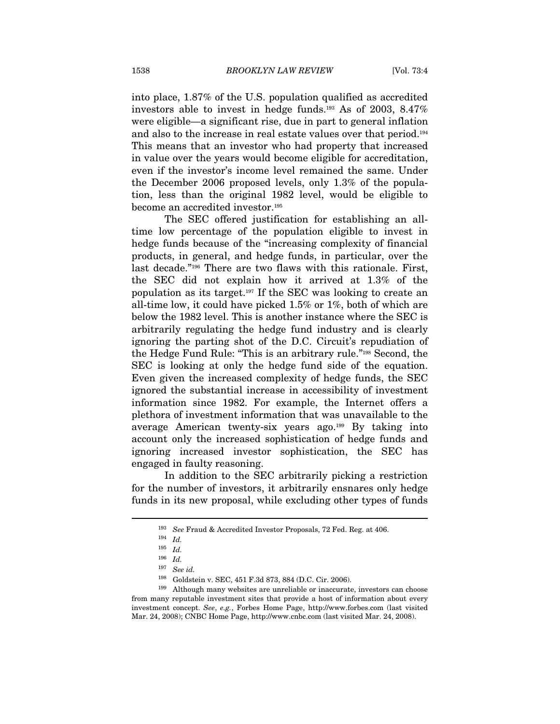into place, 1.87% of the U.S. population qualified as accredited investors able to invest in hedge funds.193 As of 2003, 8.47% were eligible—a significant rise, due in part to general inflation and also to the increase in real estate values over that period.194 This means that an investor who had property that increased in value over the years would become eligible for accreditation, even if the investor's income level remained the same. Under the December 2006 proposed levels, only 1.3% of the population, less than the original 1982 level, would be eligible to become an accredited investor.195

The SEC offered justification for establishing an alltime low percentage of the population eligible to invest in hedge funds because of the "increasing complexity of financial products, in general, and hedge funds, in particular, over the last decade."196 There are two flaws with this rationale. First, the SEC did not explain how it arrived at 1.3% of the population as its target.197 If the SEC was looking to create an all-time low, it could have picked 1.5% or 1%, both of which are below the 1982 level. This is another instance where the SEC is arbitrarily regulating the hedge fund industry and is clearly ignoring the parting shot of the D.C. Circuit's repudiation of the Hedge Fund Rule: "This is an arbitrary rule."198 Second, the SEC is looking at only the hedge fund side of the equation. Even given the increased complexity of hedge funds, the SEC ignored the substantial increase in accessibility of investment information since 1982. For example, the Internet offers a plethora of investment information that was unavailable to the average American twenty-six years ago.199 By taking into account only the increased sophistication of hedge funds and ignoring increased investor sophistication, the SEC has engaged in faulty reasoning.

In addition to the SEC arbitrarily picking a restriction for the number of investors, it arbitrarily ensnares only hedge funds in its new proposal, while excluding other types of funds

<sup>193</sup> See Fraud & Accredited Investor Proposals, 72 Fed. Reg. at 406. 194 Id.

 $^{195}\,$   $Id.$ 

 $^{196}\,$   $Id.$ 

<sup>197</sup> See id.

<sup>&</sup>lt;sup>198</sup> Goldstein v. SEC, 451 F.3d 873, 884 (D.C. Cir. 2006).<br><sup>199</sup> Although many websites are unreliable or inaccurate, investors can choose from many reputable investment sites that provide a host of information about every investment concept. See, e.g., Forbes Home Page, http://www.forbes.com (last visited Mar. 24, 2008); CNBC Home Page, http://www.cnbc.com (last visited Mar. 24, 2008).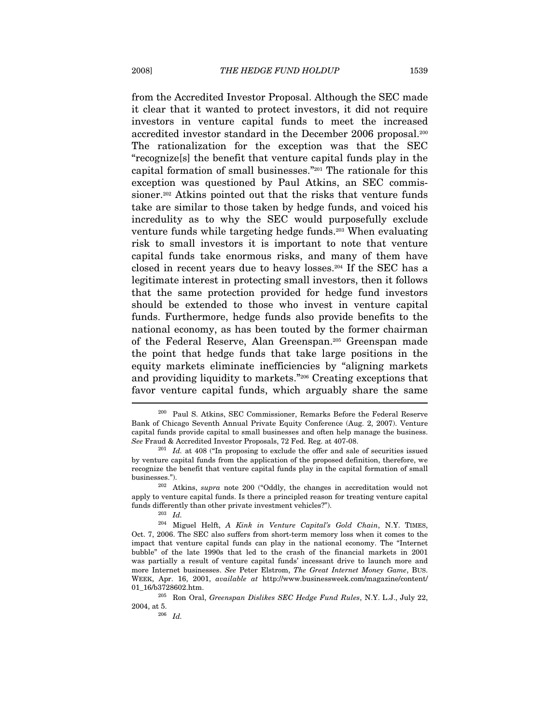from the Accredited Investor Proposal. Although the SEC made it clear that it wanted to protect investors, it did not require investors in venture capital funds to meet the increased accredited investor standard in the December 2006 proposal.200 The rationalization for the exception was that the SEC "recognize[s] the benefit that venture capital funds play in the capital formation of small businesses."201 The rationale for this exception was questioned by Paul Atkins, an SEC commissioner.<sup>202</sup> Atkins pointed out that the risks that venture funds take are similar to those taken by hedge funds, and voiced his incredulity as to why the SEC would purposefully exclude venture funds while targeting hedge funds.203 When evaluating risk to small investors it is important to note that venture capital funds take enormous risks, and many of them have closed in recent years due to heavy losses.204 If the SEC has a legitimate interest in protecting small investors, then it follows that the same protection provided for hedge fund investors should be extended to those who invest in venture capital funds. Furthermore, hedge funds also provide benefits to the national economy, as has been touted by the former chairman of the Federal Reserve, Alan Greenspan.205 Greenspan made the point that hedge funds that take large positions in the equity markets eliminate inefficiencies by "aligning markets and providing liquidity to markets."206 Creating exceptions that favor venture capital funds, which arguably share the same

l

<sup>200</sup> Paul S. Atkins, SEC Commissioner, Remarks Before the Federal Reserve Bank of Chicago Seventh Annual Private Equity Conference (Aug. 2, 2007). Venture capital funds provide capital to small businesses and often help manage the business. See Fraud & Accredited Investor Proposals, 72 Fed. Reg. at 407-08.<br><sup>201</sup> Id. at 408 ("In proposing to exclude the offer and sale of securities issued

by venture capital funds from the application of the proposed definition, therefore, we recognize the benefit that venture capital funds play in the capital formation of small businesses."). <sup>202</sup> Atkins, *supra* note 200 ("Oddly, the changes in accreditation would not

apply to venture capital funds. Is there a principled reason for treating venture capital funds differently than other private investment vehicles?").<br> $^{203}$  Id.

 $204$  Miguel Helft, A Kink in Venture Capital's Gold Chain, N.Y. TIMES, Oct. 7, 2006. The SEC also suffers from short-term memory loss when it comes to the impact that venture capital funds can play in the national economy. The "Internet bubble" of the late 1990s that led to the crash of the financial markets in 2001 was partially a result of venture capital funds' incessant drive to launch more and more Internet businesses. See Peter Elstrom, The Great Internet Money Game, BUS. WEEK, Apr. 16, 2001, available at http://www.businessweek.com/magazine/content/

<sup>01</sup>\_16/b3728602.htm.<br><sup>205</sup> Ron Oral, *Greenspan Dislikes SEC Hedge Fund Rules*, N.Y. L.J., July 22,<br>2004. at 5.

 $206$  *Id.*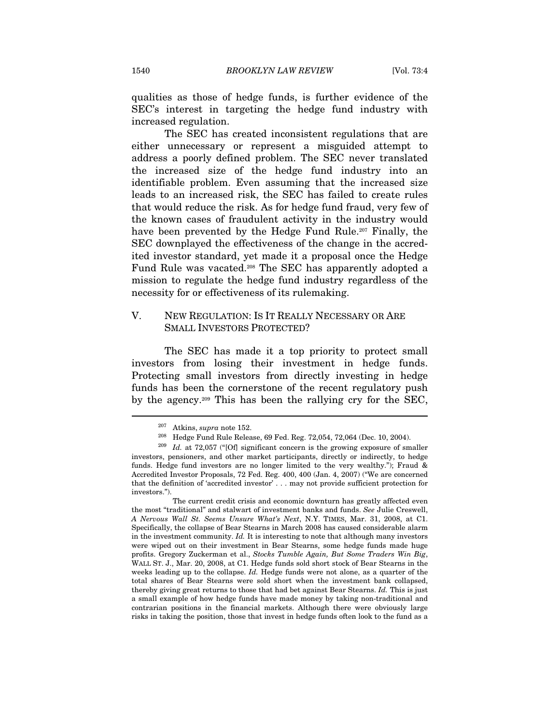qualities as those of hedge funds, is further evidence of the SEC's interest in targeting the hedge fund industry with increased regulation.

The SEC has created inconsistent regulations that are either unnecessary or represent a misguided attempt to address a poorly defined problem. The SEC never translated the increased size of the hedge fund industry into an identifiable problem. Even assuming that the increased size leads to an increased risk, the SEC has failed to create rules that would reduce the risk. As for hedge fund fraud, very few of the known cases of fraudulent activity in the industry would have been prevented by the Hedge Fund Rule.<sup>207</sup> Finally, the SEC downplayed the effectiveness of the change in the accredited investor standard, yet made it a proposal once the Hedge Fund Rule was vacated.<sup>208</sup> The SEC has apparently adopted a mission to regulate the hedge fund industry regardless of the necessity for or effectiveness of its rulemaking.

#### V. NEW REGULATION: IS IT REALLY NECESSARY OR ARE SMALL INVESTORS PROTECTED?

The SEC has made it a top priority to protect small investors from losing their investment in hedge funds. Protecting small investors from directly investing in hedge funds has been the cornerstone of the recent regulatory push by the agency.209 This has been the rallying cry for the SEC,

<sup>&</sup>lt;sup>207</sup> Atkins, *supra* note 152.<br><sup>208</sup> Hedge Fund Rule Release, 69 Fed. Reg. 72,054, 72,064 (Dec. 10, 2004).<br><sup>209</sup> Id. at 72,057 ("[Of] significant concern is the growing exposure of smaller investors, pensioners, and other market participants, directly or indirectly, to hedge funds. Hedge fund investors are no longer limited to the very wealthy."); Fraud & Accredited Investor Proposals, 72 Fed. Reg. 400, 400 (Jan. 4, 2007) ("We are concerned that the definition of 'accredited investor' . . . may not provide sufficient protection for investors.")

The current credit crisis and economic downturn has greatly affected even the most "traditional" and stalwart of investment banks and funds. See Julie Creswell, A Nervous Wall St. Seems Unsure What's Next, N.Y. TIMES, Mar. 31, 2008, at C1. Specifically, the collapse of Bear Stearns in March 2008 has caused considerable alarm in the investment community. Id. It is interesting to note that although many investors were wiped out on their investment in Bear Stearns, some hedge funds made huge profits. Gregory Zuckerman et al., Stocks Tumble Again, But Some Traders Win Big, WALL ST. J., Mar. 20, 2008, at C1. Hedge funds sold short stock of Bear Stearns in the weeks leading up to the collapse. Id. Hedge funds were not alone, as a quarter of the total shares of Bear Stearns were sold short when the investment bank collapsed, thereby giving great returns to those that had bet against Bear Stearns. Id. This is just a small example of how hedge funds have made money by taking non-traditional and contrarian positions in the financial markets. Although there were obviously large risks in taking the position, those that invest in hedge funds often look to the fund as a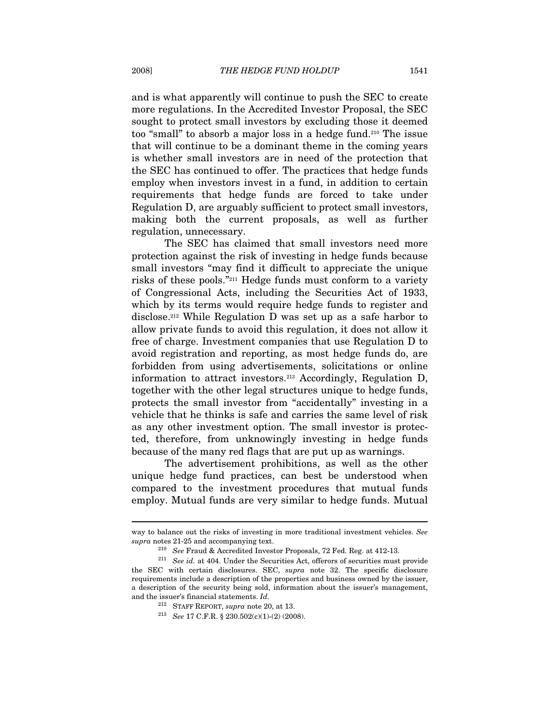and is what apparently will continue to push the SEC to create more regulations. In the Accredited Investor Proposal, the SEC sought to protect small investors by excluding those it deemed too "small" to absorb a major loss in a hedge fund.210 The issue that will continue to be a dominant theme in the coming years is whether small investors are in need of the protection that the SEC has continued to offer. The practices that hedge funds employ when investors invest in a fund, in addition to certain requirements that hedge funds are forced to take under Regulation D, are arguably sufficient to protect small investors, making both the current proposals, as well as further regulation, unnecessary.

The SEC has claimed that small investors need more protection against the risk of investing in hedge funds because small investors "may find it difficult to appreciate the unique risks of these pools."211 Hedge funds must conform to a variety of Congressional Acts, including the Securities Act of 1933, which by its terms would require hedge funds to register and disclose.212 While Regulation D was set up as a safe harbor to allow private funds to avoid this regulation, it does not allow it free of charge. Investment companies that use Regulation D to avoid registration and reporting, as most hedge funds do, are forbidden from using advertisements, solicitations or online information to attract investors.213 Accordingly, Regulation D, together with the other legal structures unique to hedge funds, protects the small investor from "accidentally" investing in a vehicle that he thinks is safe and carries the same level of risk as any other investment option. The small investor is protected, therefore, from unknowingly investing in hedge funds because of the many red flags that are put up as warnings.

The advertisement prohibitions, as well as the other unique hedge fund practices, can best be understood when compared to the investment procedures that mutual funds employ. Mutual funds are very similar to hedge funds. Mutual

way to balance out the risks of investing in more traditional investment vehicles. See supra notes 21-25 and accompanying text.<br><sup>210</sup> See Fraud & Accredited Investor Proposals, 72 Fed. Reg. at 412-13.<br><sup>211</sup> See id. at 404. Under the Securities Act, offerors of securities must provide

the SEC with certain disclosures. SEC, supra note 32. The specific disclosure requirements include a description of the properties and business owned by the issuer, a description of the security being sold, information about the issuer's management, and the issuer's financial statements. Id.

<sup>&</sup>lt;sup>212</sup> STAFF REPORT, *supra* note 20, at 13.<br><sup>213</sup> See 17 C.F.R. § 230.502(c)(1)-(2) (2008).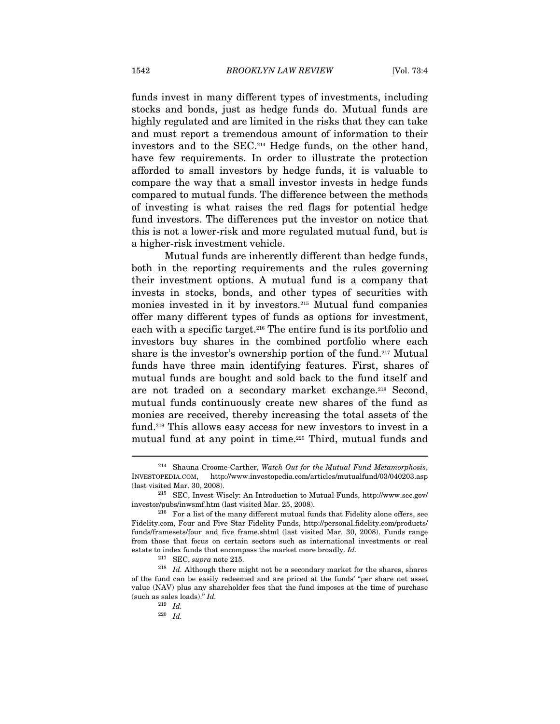funds invest in many different types of investments, including stocks and bonds, just as hedge funds do. Mutual funds are highly regulated and are limited in the risks that they can take and must report a tremendous amount of information to their investors and to the SEC.214 Hedge funds, on the other hand, have few requirements. In order to illustrate the protection afforded to small investors by hedge funds, it is valuable to compare the way that a small investor invests in hedge funds compared to mutual funds. The difference between the methods of investing is what raises the red flags for potential hedge fund investors. The differences put the investor on notice that this is not a lower-risk and more regulated mutual fund, but is a higher-risk investment vehicle.

Mutual funds are inherently different than hedge funds, both in the reporting requirements and the rules governing their investment options. A mutual fund is a company that invests in stocks, bonds, and other types of securities with monies invested in it by investors.215 Mutual fund companies offer many different types of funds as options for investment, each with a specific target.216 The entire fund is its portfolio and investors buy shares in the combined portfolio where each share is the investor's ownership portion of the fund.217 Mutual funds have three main identifying features. First, shares of mutual funds are bought and sold back to the fund itself and are not traded on a secondary market exchange.218 Second, mutual funds continuously create new shares of the fund as monies are received, thereby increasing the total assets of the fund.219 This allows easy access for new investors to invest in a mutual fund at any point in time.<sup>220</sup> Third, mutual funds and

<sup>&</sup>lt;sup>214</sup> Shauna Croome-Carther, Watch Out for the Mutual Fund Metamorphosis, INVESTOPEDIA.COM, http://www.investopedia.com/articles/mutualfund/03/040203.asp (last visited Mar. 30, 2008). 215 SEC, Invest Wisely: An Introduction to Mutual Funds, http://www.sec.gov/

investor/pubs/inwsmf.htm (last visited Mar. 25, 2008).<br><sup>216</sup> For a list of the many different mutual funds that Fidelity alone offers, see

Fidelity.com, Four and Five Star Fidelity Funds, http://personal.fidelity.com/products/ funds/framesets/four\_and\_five\_frame.shtml (last visited Mar. 30, 2008). Funds range from those that focus on certain sectors such as international investments or real estate to index funds that encompass the market more broadly. Id.  $^{217}$  SEC, supra note 215.

 $218$  Id. Although there might not be a secondary market for the shares, shares of the fund can be easily redeemed and are priced at the funds' "per share net asset value (NAV) plus any shareholder fees that the fund imposes at the time of purchase (such as sales loads)." Id.

 $^{219}\;$   $Id.$ 

<sup>220</sup> Id.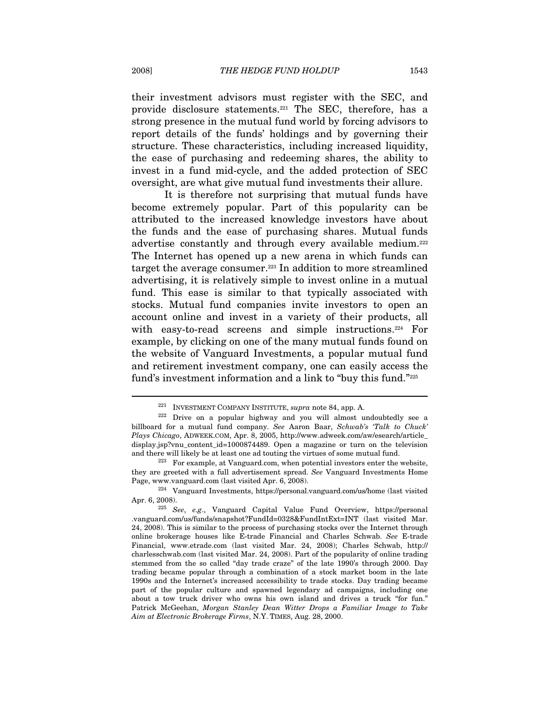their investment advisors must register with the SEC, and provide disclosure statements.221 The SEC, therefore, has a strong presence in the mutual fund world by forcing advisors to report details of the funds' holdings and by governing their structure. These characteristics, including increased liquidity, the ease of purchasing and redeeming shares, the ability to invest in a fund mid-cycle, and the added protection of SEC oversight, are what give mutual fund investments their allure.

It is therefore not surprising that mutual funds have become extremely popular. Part of this popularity can be attributed to the increased knowledge investors have about the funds and the ease of purchasing shares. Mutual funds advertise constantly and through every available medium.<sup>222</sup> The Internet has opened up a new arena in which funds can target the average consumer.223 In addition to more streamlined advertising, it is relatively simple to invest online in a mutual fund. This ease is similar to that typically associated with stocks. Mutual fund companies invite investors to open an account online and invest in a variety of their products, all with easy-to-read screens and simple instructions.<sup>224</sup> For example, by clicking on one of the many mutual funds found on the website of Vanguard Investments, a popular mutual fund and retirement investment company, one can easily access the fund's investment information and a link to "buy this fund."225

<sup>&</sup>lt;sup>221</sup> INVESTMENT COMPANY INSTITUTE, *supra* note 84, app. A.  $222$  Drive on a popular highway and you will almost undoubtedly see a billboard for a mutual fund company. See Aaron Baar, Schwab's 'Talk to Chuck' Plays Chicago, ADWEEK.COM, Apr. 8, 2005, http://www.adweek.com/aw/esearch/article\_ display.jsp?vnu\_content\_id=1000874489. Open a magazine or turn on the television and there will likely be at least one ad touting the virtues of some mutual fund.<br><sup>223</sup> For example, at Vanguard.com, when potential investors enter the website,

they are greeted with a full advertisement spread. See Vanguard Investments Home Page, www.vanguard.com (last visited Apr. 6, 2008). 224 Vanguard Investments, https://personal.vanguard.com/us/home (last visited

Apr. 6, 2008).<br><sup>225</sup> See, e.g., Vanguard Capital Value Fund Overview, https://personal .vanguard.com/us/funds/snapshot?FundId=0328&FundIntExt=INT (last visited Mar. 24, 2008). This is similar to the process of purchasing stocks over the Internet through online brokerage houses like E-trade Financial and Charles Schwab. See E-trade Financial, www.etrade.com (last visited Mar. 24, 2008); Charles Schwab, http:// charlesschwab.com (last visited Mar. 24, 2008). Part of the popularity of online trading stemmed from the so called "day trade craze" of the late 1990's through 2000. Day trading became popular through a combination of a stock market boom in the late 1990s and the Internet's increased accessibility to trade stocks. Day trading became part of the popular culture and spawned legendary ad campaigns, including one about a tow truck driver who owns his own island and drives a truck "for fun." Patrick McGeehan, Morgan Stanley Dean Witter Drops a Familiar Image to Take Aim at Electronic Brokerage Firms, N.Y. TIMES, Aug. 28, 2000.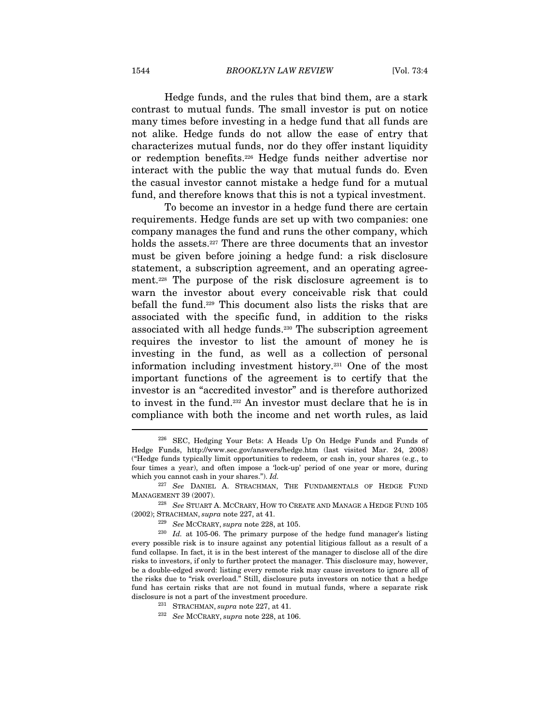Hedge funds, and the rules that bind them, are a stark contrast to mutual funds. The small investor is put on notice many times before investing in a hedge fund that all funds are not alike. Hedge funds do not allow the ease of entry that characterizes mutual funds, nor do they offer instant liquidity or redemption benefits.226 Hedge funds neither advertise nor interact with the public the way that mutual funds do. Even the casual investor cannot mistake a hedge fund for a mutual fund, and therefore knows that this is not a typical investment.

To become an investor in a hedge fund there are certain requirements. Hedge funds are set up with two companies: one company manages the fund and runs the other company, which holds the assets.227 There are three documents that an investor must be given before joining a hedge fund: a risk disclosure statement, a subscription agreement, and an operating agreement.228 The purpose of the risk disclosure agreement is to warn the investor about every conceivable risk that could befall the fund.229 This document also lists the risks that are associated with the specific fund, in addition to the risks associated with all hedge funds.230 The subscription agreement requires the investor to list the amount of money he is investing in the fund, as well as a collection of personal information including investment history.231 One of the most important functions of the agreement is to certify that the investor is an "accredited investor" and is therefore authorized to invest in the fund.232 An investor must declare that he is in compliance with both the income and net worth rules, as laid

<sup>226</sup> SEC, Hedging Your Bets: A Heads Up On Hedge Funds and Funds of Hedge Funds, http://www.sec.gov/answers/hedge.htm (last visited Mar. 24, 2008) ("Hedge funds typically limit opportunities to redeem, or cash in, your shares (e.g., to four times a year), and often impose a 'lock-up' period of one year or more, during which you cannot cash in your shares."). Id.

<sup>&</sup>lt;sup>227</sup> See DANIEL A. STRACHMAN, THE FUNDAMENTALS OF HEDGE FUND MANAGEMENT 39 (2007). 228 See STUART A. MCCRARY, HOW TO CREATE AND MANAGE A HEDGE FUND 105

<sup>(2002);</sup> STRACHMAN, supra note 227, at 41.<br> $^{229}$  See MCCRARY, supra note 228, at 105.

 $230$  *Id.* at 105-06. The primary purpose of the hedge fund manager's listing every possible risk is to insure against any potential litigious fallout as a result of a fund collapse. In fact, it is in the best interest of the manager to disclose all of the dire risks to investors, if only to further protect the manager. This disclosure may, however, be a double-edged sword: listing every remote risk may cause investors to ignore all of the risks due to "risk overload." Still, disclosure puts investors on notice that a hedge fund has certain risks that are not found in mutual funds, where a separate risk disclosure is not a part of the investment procedure.<br><sup>231</sup> STRACHMAN, *supra* note 227, at 41.<br><sup>232</sup> See MCCRARY, *supra* note 228, at 106.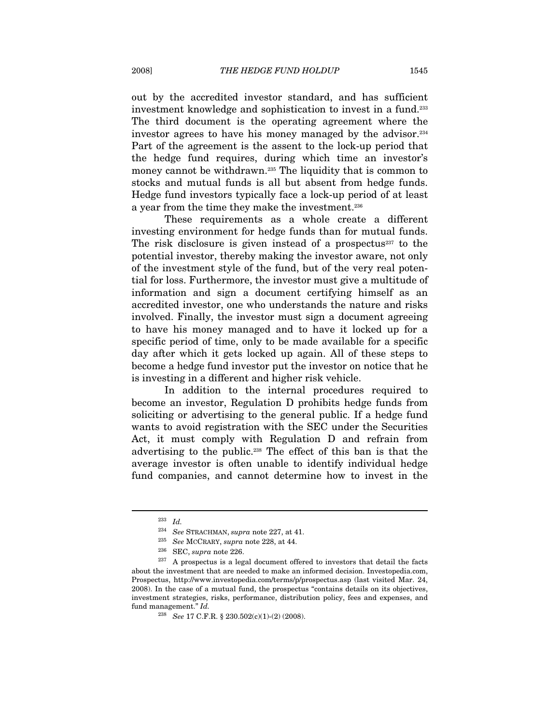out by the accredited investor standard, and has sufficient investment knowledge and sophistication to invest in a fund.233 The third document is the operating agreement where the investor agrees to have his money managed by the advisor.<sup>234</sup> Part of the agreement is the assent to the lock-up period that the hedge fund requires, during which time an investor's money cannot be withdrawn.<sup>235</sup> The liquidity that is common to stocks and mutual funds is all but absent from hedge funds. Hedge fund investors typically face a lock-up period of at least a year from the time they make the investment.236

These requirements as a whole create a different investing environment for hedge funds than for mutual funds. The risk disclosure is given instead of a prospectus<sup>237</sup> to the potential investor, thereby making the investor aware, not only of the investment style of the fund, but of the very real potential for loss. Furthermore, the investor must give a multitude of information and sign a document certifying himself as an accredited investor, one who understands the nature and risks involved. Finally, the investor must sign a document agreeing to have his money managed and to have it locked up for a specific period of time, only to be made available for a specific day after which it gets locked up again. All of these steps to become a hedge fund investor put the investor on notice that he is investing in a different and higher risk vehicle.

In addition to the internal procedures required to become an investor, Regulation D prohibits hedge funds from soliciting or advertising to the general public. If a hedge fund wants to avoid registration with the SEC under the Securities Act, it must comply with Regulation D and refrain from advertising to the public.238 The effect of this ban is that the average investor is often unable to identify individual hedge fund companies, and cannot determine how to invest in the

<sup>233</sup> Id.

<sup>&</sup>lt;sup>234</sup> See STRACHMAN, supra note 227, at 41.<br><sup>235</sup> See MCCRARY, supra note 228, at 44.<br><sup>236</sup> SEC, supra note 226.<br><sup>237</sup> A prospectus is a legal document offered to investors that detail the facts about the investment that are needed to make an informed decision. Investopedia.com, Prospectus, http://www.investopedia.com/terms/p/prospectus.asp (last visited Mar. 24, 2008). In the case of a mutual fund, the prospectus "contains details on its objectives, investment strategies, risks, performance, distribution policy, fees and expenses, and fund management." Id.

 $^{238}$   $\,$  See 17 C.F.R. § 230.502(c)(1)-(2) (2008).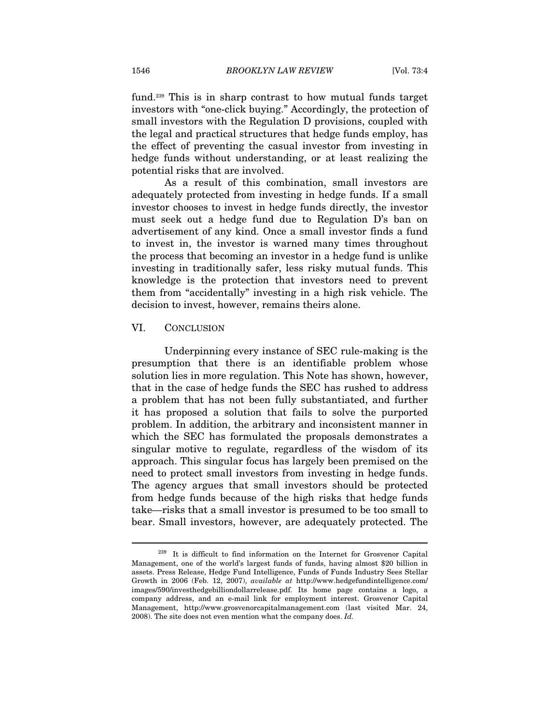fund.239 This is in sharp contrast to how mutual funds target investors with "one-click buying." Accordingly, the protection of small investors with the Regulation D provisions, coupled with the legal and practical structures that hedge funds employ, has the effect of preventing the casual investor from investing in hedge funds without understanding, or at least realizing the potential risks that are involved.

As a result of this combination, small investors are adequately protected from investing in hedge funds. If a small investor chooses to invest in hedge funds directly, the investor must seek out a hedge fund due to Regulation D's ban on advertisement of any kind. Once a small investor finds a fund to invest in, the investor is warned many times throughout the process that becoming an investor in a hedge fund is unlike investing in traditionally safer, less risky mutual funds. This knowledge is the protection that investors need to prevent them from "accidentally" investing in a high risk vehicle. The decision to invest, however, remains theirs alone.

#### VI. CONCLUSION

 $\overline{a}$ 

Underpinning every instance of SEC rule-making is the presumption that there is an identifiable problem whose solution lies in more regulation. This Note has shown, however, that in the case of hedge funds the SEC has rushed to address a problem that has not been fully substantiated, and further it has proposed a solution that fails to solve the purported problem. In addition, the arbitrary and inconsistent manner in which the SEC has formulated the proposals demonstrates a singular motive to regulate, regardless of the wisdom of its approach. This singular focus has largely been premised on the need to protect small investors from investing in hedge funds. The agency argues that small investors should be protected from hedge funds because of the high risks that hedge funds take—risks that a small investor is presumed to be too small to bear. Small investors, however, are adequately protected. The

<sup>239</sup> It is difficult to find information on the Internet for Grosvenor Capital Management, one of the world's largest funds of funds, having almost \$20 billion in assets. Press Release, Hedge Fund Intelligence, Funds of Funds Industry Sees Stellar Growth in 2006 (Feb. 12, 2007), available at http://www.hedgefundintelligence.com/ images/590/investhedgebilliondollarrelease.pdf. Its home page contains a logo, a company address, and an e-mail link for employment interest. Grosvenor Capital Management, http://www.grosvenorcapitalmanagement.com (last visited Mar. 24, 2008). The site does not even mention what the company does.  $Id$ .